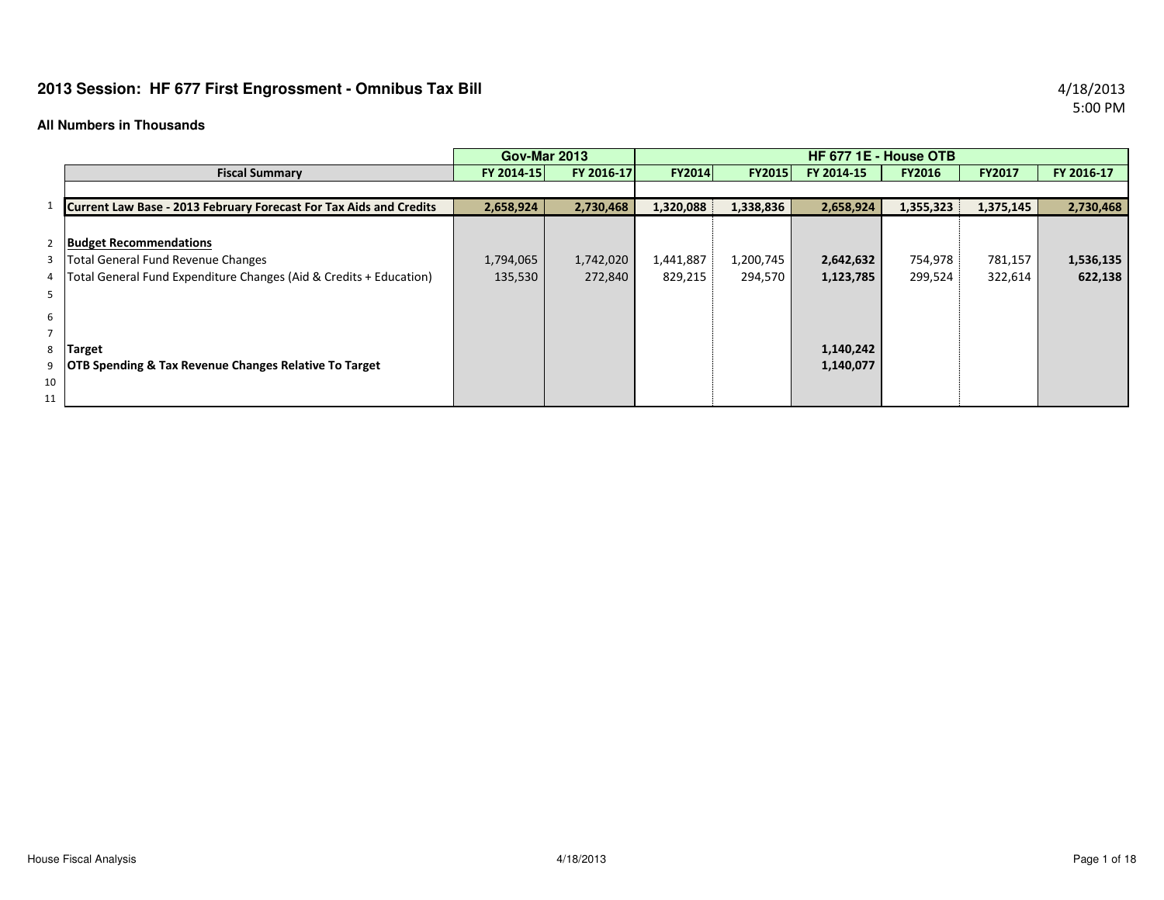# **2013 Session: HF 677 First Engrossment - Omnibus Tax Bill** 4/18/2013

#### **All Numbers in Thousands**

|                |                                                                    | <b>Gov-Mar 2013</b> |            |               |               | HF 677 1E - House OTB |               |               |            |
|----------------|--------------------------------------------------------------------|---------------------|------------|---------------|---------------|-----------------------|---------------|---------------|------------|
|                | <b>Fiscal Summary</b>                                              | FY 2014-15          | FY 2016-17 | <b>FY2014</b> | <b>FY2015</b> | FY 2014-15            | <b>FY2016</b> | <b>FY2017</b> | FY 2016-17 |
|                |                                                                    |                     |            |               |               |                       |               |               |            |
|                | Current Law Base - 2013 February Forecast For Tax Aids and Credits | 2,658,924           | 2,730,468  | 1,320,088     | 1,338,836     | 2,658,924             | 1,355,323     | 1,375,145     | 2,730,468  |
|                |                                                                    |                     |            |               |               |                       |               |               |            |
| $\overline{2}$ | <b>Budget Recommendations</b>                                      |                     |            |               |               |                       |               |               |            |
|                | 3   Total General Fund Revenue Changes                             | 1,794,065           | 1,742,020  | 1,441,887     | 1,200,745     | 2,642,632             | 754,978       | 781,157       | 1,536,135  |
| 4              | Total General Fund Expenditure Changes (Aid & Credits + Education) | 135,530             | 272,840    | 829,215       | 294,570       | 1,123,785             | 299,524       | 322,614       | 622,138    |
| 5              |                                                                    |                     |            |               |               |                       |               |               |            |
| 6              |                                                                    |                     |            |               |               |                       |               |               |            |
| $\overline{ }$ |                                                                    |                     |            |               |               |                       |               |               |            |
| 8              | Target                                                             |                     |            |               |               | 1,140,242             |               |               |            |
| 9              | <b>OTB Spending &amp; Tax Revenue Changes Relative To Target</b>   |                     |            |               |               | 1,140,077             |               |               |            |
| 10             |                                                                    |                     |            |               |               |                       |               |               |            |
| 11             |                                                                    |                     |            |               |               |                       |               |               |            |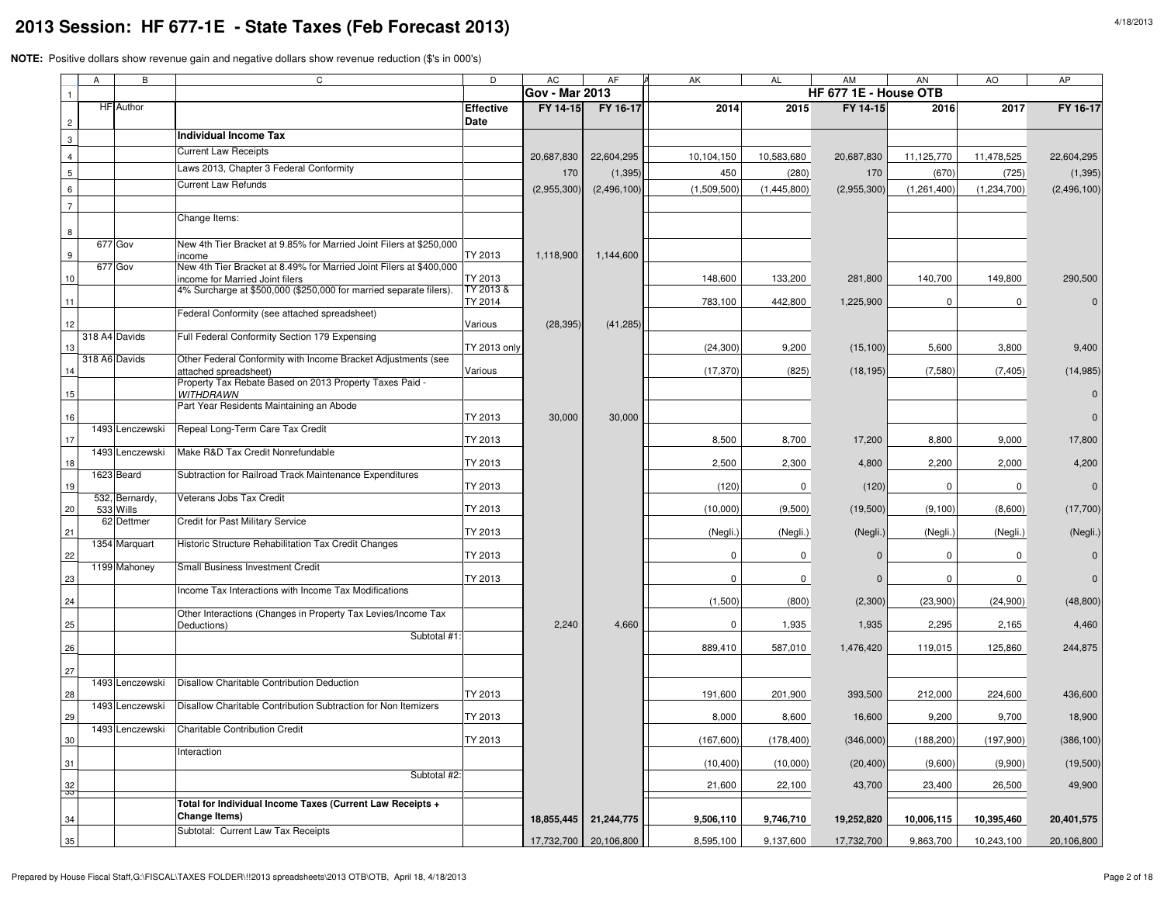|                 | Α | В                | C                                                                                                     | D                    | <b>AC</b>             | AF                    | <b>AK</b>   | AL          | AM                    | <b>AN</b>   | AO          | <b>AP</b>   |
|-----------------|---|------------------|-------------------------------------------------------------------------------------------------------|----------------------|-----------------------|-----------------------|-------------|-------------|-----------------------|-------------|-------------|-------------|
| $\overline{1}$  |   |                  |                                                                                                       |                      | <b>Gov - Mar 2013</b> |                       |             |             | HF 677 1E - House OTB |             |             |             |
|                 |   | <b>HF</b> Author |                                                                                                       | <b>Effective</b>     | FY 14-15              | FY 16-17              | 2014        | 2015        | FY 14-15              | 2016        | 2017        | FY 16-17    |
| $\overline{c}$  |   |                  | Individual Income Tax                                                                                 | Date                 |                       |                       |             |             |                       |             |             |             |
| $\mathbf{3}$    |   |                  | <b>Current Law Receipts</b>                                                                           |                      |                       |                       |             |             |                       |             |             |             |
| $\overline{4}$  |   |                  |                                                                                                       |                      | 20,687,830            | 22,604,295            | 10,104,150  | 10,583,680  | 20,687,830            | 11,125,770  | 11,478,525  | 22,604,295  |
| $5\phantom{.0}$ |   |                  | Laws 2013, Chapter 3 Federal Conformity                                                               |                      | 170                   | (1, 395)              | 450         | (280)       | 170                   | (670)       | (725)       | (1, 395)    |
| 6               |   |                  | <b>Current Law Refunds</b>                                                                            |                      | (2,955,300)           | (2,496,100)           | (1,509,500) | (1,445,800) | (2,955,300)           | (1,261,400) | (1,234,700) | (2,496,100) |
| $\overline{7}$  |   |                  |                                                                                                       |                      |                       |                       |             |             |                       |             |             |             |
|                 |   |                  | Change Items:                                                                                         |                      |                       |                       |             |             |                       |             |             |             |
| 8               |   | 677 Gov          | New 4th Tier Bracket at 9.85% for Married Joint Filers at \$250,000                                   |                      |                       |                       |             |             |                       |             |             |             |
| 9               |   |                  | ncome                                                                                                 | TY 2013              | 1,118,900             | 1,144,600             |             |             |                       |             |             |             |
|                 |   | 677 Gov          | New 4th Tier Bracket at 8.49% for Married Joint Filers at \$400,000                                   |                      |                       |                       |             |             |                       |             |             |             |
| 10              |   |                  | income for Married Joint filers<br>4% Surcharge at \$500,000 (\$250,000 for married separate filers). | TY 2013<br>TY 2013 & |                       |                       | 148,600     | 133,200     | 281,800               | 140,700     | 149,800     | 290,500     |
| 11              |   |                  |                                                                                                       | TY 2014              |                       |                       | 783,100     | 442,800     | 1,225,900             | $\mathbf 0$ | 0           |             |
|                 |   |                  | Federal Conformity (see attached spreadsheet)                                                         |                      |                       |                       |             |             |                       |             |             |             |
| 12              |   | 318 A4 Davids    | Full Federal Conformity Section 179 Expensing                                                         | Various              | (28, 395)             | (41, 285)             |             |             |                       |             |             |             |
| 13              |   |                  |                                                                                                       | <b>TY 2013 only</b>  |                       |                       | (24, 300)   | 9,200       | (15, 100)             | 5,600       | 3,800       | 9,400       |
|                 |   | 318 A6 Davids    | Other Federal Conformity with Income Bracket Adjustments (see<br>attached spreadsheet)                | Various              |                       |                       | (17, 370)   | (825)       | (18, 195)             | (7,580)     | (7, 405)    | (14, 985)   |
|                 |   |                  | Property Tax Rebate Based on 2013 Property Taxes Paid -                                               |                      |                       |                       |             |             |                       |             |             |             |
| 15              |   |                  | <b>WITHDRAWN</b>                                                                                      |                      |                       |                       |             |             |                       |             |             |             |
| 16              |   |                  | Part Year Residents Maintaining an Abode                                                              | TY 2013              | 30,000                | 30,000                |             |             |                       |             |             |             |
|                 |   | 1493 Lenczewski  | Repeal Long-Term Care Tax Credit                                                                      |                      |                       |                       |             |             |                       |             |             |             |
| 17              |   |                  |                                                                                                       | TY 2013              |                       |                       | 8,500       | 8,700       | 17,200                | 8,800       | 9,000       | 17,800      |
| 18              |   | 1493 Lenczewski  | Make R&D Tax Credit Nonrefundable                                                                     | TY 2013              |                       |                       | 2,500       | 2,300       | 4,800                 | 2,200       | 2,000       | 4,200       |
|                 |   | 1623 Beard       | Subtraction for Railroad Track Maintenance Expenditures                                               |                      |                       |                       |             |             |                       |             |             |             |
| 19              |   | 532, Bernardy,   | Veterans Jobs Tax Credit                                                                              | TY 2013              |                       |                       | (120)       | $\mathbf 0$ | (120)                 | $\Omega$    | $\mathbf 0$ |             |
| 20              |   | 533 Wills        |                                                                                                       | TY 2013              |                       |                       | (10,000)    | (9,500)     | (19,500)              | (9, 100)    | (8,600)     | (17,700)    |
| 21              |   | 62 Dettmer       | <b>Credit for Past Military Service</b>                                                               | TY 2013              |                       |                       |             |             |                       |             |             |             |
|                 |   | 1354 Marquart    | Historic Structure Rehabilitation Tax Credit Changes                                                  |                      |                       |                       | (Negli.)    | (Negli.)    | (Negli.)              | (Negli.)    | (Negli.)    | (Negli.)    |
| 22              |   |                  |                                                                                                       | TY 2013              |                       |                       | $\Omega$    | 0           | $\Omega$              | 0           | 0           |             |
| 23              |   | 1199 Mahoney     | Small Business Investment Credit                                                                      | TY 2013              |                       |                       | $\mathbf 0$ | 0           | $\mathbf{0}$          | 0           | 0           |             |
|                 |   |                  | Income Tax Interactions with Income Tax Modifications                                                 |                      |                       |                       |             |             |                       |             |             |             |
| 24              |   |                  |                                                                                                       |                      |                       |                       | (1,500)     | (800)       | (2,300)               | (23,900)    | (24,900)    | (48, 800)   |
| 25              |   |                  | Other Interactions (Changes in Property Tax Levies/Income Tax<br>Deductions)                          |                      | 2,240                 | 4,660                 | 0           | 1,935       | 1,935                 | 2,295       | 2,165       | 4,460       |
|                 |   |                  | Subtotal #1:                                                                                          |                      |                       |                       |             |             |                       |             |             |             |
| 26              |   |                  |                                                                                                       |                      |                       |                       | 889,410     | 587,010     | 1,476,420             | 119,015     | 125,860     | 244,875     |
| 27              |   |                  |                                                                                                       |                      |                       |                       |             |             |                       |             |             |             |
|                 |   | 1493 Lenczewski  | Disallow Charitable Contribution Deduction                                                            |                      |                       |                       |             |             |                       |             |             |             |
| 28              |   | 1493 Lenczewski  | Disallow Charitable Contribution Subtraction for Non Itemizers                                        | TY 2013              |                       |                       | 191,600     | 201,900     | 393,500               | 212,000     | 224,600     | 436,600     |
| 29              |   |                  |                                                                                                       | TY 2013              |                       |                       | 8,000       | 8,600       | 16,600                | 9,200       | 9,700       | 18,900      |
|                 |   |                  | 1493 Lenczewski Charitable Contribution Credit                                                        |                      |                       |                       |             |             |                       |             |             |             |
| $30\,$          |   |                  | Interaction                                                                                           | TY 2013              |                       |                       | (167,600)   | (178, 400)  | (346,000)             | (188, 200)  | (197,900)   | (386, 100)  |
| 31              |   |                  |                                                                                                       |                      |                       |                       | (10, 400)   | (10,000)    | (20, 400)             | (9,600)     | (9,900)     | (19,500)    |
|                 |   |                  | Subtotal #2:                                                                                          |                      |                       |                       | 21,600      | 22,100      | 43,700                | 23,400      | 26,500      | 49,900      |
| $\frac{32}{50}$ |   |                  | Total for Individual Income Taxes (Current Law Receipts +                                             |                      |                       |                       |             |             |                       |             |             |             |
| 34              |   |                  | <b>Change Items)</b>                                                                                  |                      |                       | 18,855,445 21,244,775 | 9,506,110   | 9,746,710   | 19,252,820            | 10,006,115  | 10,395,460  | 20,401,575  |
|                 |   |                  | Subtotal: Current Law Tax Receipts                                                                    |                      |                       |                       |             |             |                       |             |             |             |
| 35              |   |                  |                                                                                                       |                      | 17,732,700            | 20,106,800            | 8,595,100   | 9,137,600   | 17,732,700            | 9,863,700   | 10,243,100  | 20,106,800  |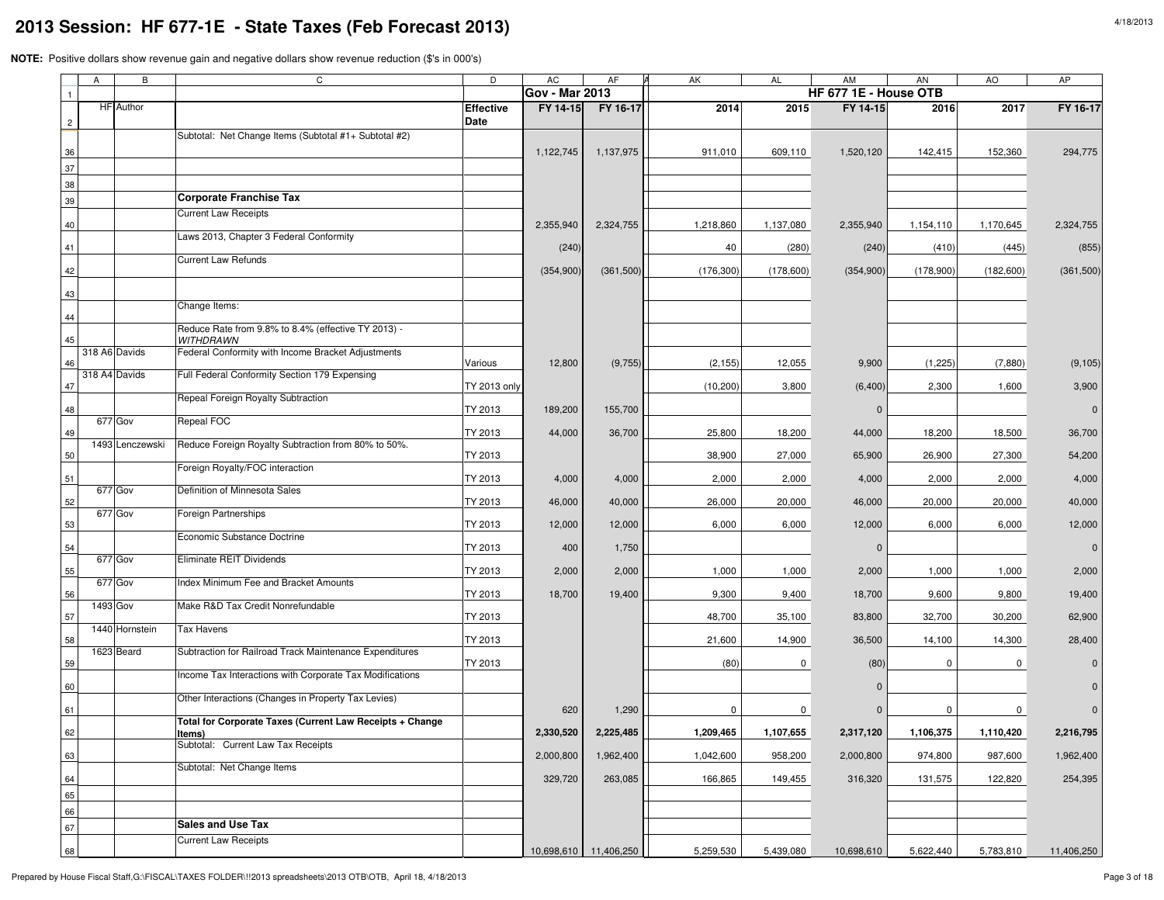| Α              | В                | C                                                                       | D                        | AC                    | AF                    | AK          | AL        | AM                    | AN        | AO        | AP         |
|----------------|------------------|-------------------------------------------------------------------------|--------------------------|-----------------------|-----------------------|-------------|-----------|-----------------------|-----------|-----------|------------|
| $\mathbf{1}$   |                  |                                                                         |                          | <b>Gov - Mar 2013</b> |                       |             |           | HF 677 1E - House OTB |           |           |            |
| $\overline{c}$ | <b>HF</b> Author |                                                                         | <b>Effective</b><br>Date | FY 14-15              | FY 16-17              | 2014        | 2015      | FY 14-15              | 2016      | 2017      | FY 16-17   |
|                |                  | Subtotal: Net Change Items (Subtotal #1+ Subtotal #2)                   |                          |                       |                       |             |           |                       |           |           |            |
| 36             |                  |                                                                         |                          | 1,122,745             | 1,137,975             | 911,010     | 609,110   | 1,520,120             | 142,415   | 152,360   | 294,775    |
| 37             |                  |                                                                         |                          |                       |                       |             |           |                       |           |           |            |
| 38             |                  |                                                                         |                          |                       |                       |             |           |                       |           |           |            |
| 39             |                  | <b>Corporate Franchise Tax</b>                                          |                          |                       |                       |             |           |                       |           |           |            |
| 40             |                  | <b>Current Law Receipts</b>                                             |                          | 2,355,940             | 2,324,755             | 1,218,860   | 1,137,080 | 2,355,940             | 1,154,110 | 1,170,645 | 2,324,755  |
| 41             |                  | Laws 2013, Chapter 3 Federal Conformity                                 |                          | (240)                 |                       | 40          | (280)     | (240)                 | (410)     | (445)     | (855)      |
| 42             |                  | <b>Current Law Refunds</b>                                              |                          | (354, 900)            | (361,500)             | (176, 300)  | (178,600) | (354, 900)            | (178,900) | (182,600) | (361, 500) |
| 43             |                  |                                                                         |                          |                       |                       |             |           |                       |           |           |            |
|                |                  | Change Items:                                                           |                          |                       |                       |             |           |                       |           |           |            |
| 44<br>45       |                  | Reduce Rate from 9.8% to 8.4% (effective TY 2013) -<br><b>WITHDRAWN</b> |                          |                       |                       |             |           |                       |           |           |            |
| 46             | 318 A6 Davids    | Federal Conformity with Income Bracket Adjustments                      | Various                  | 12,800                | (9,755)               | (2, 155)    | 12,055    | 9,900                 | (1, 225)  | (7,880)   | (9, 105)   |
| 47             | 318 A4 Davids    | Full Federal Conformity Section 179 Expensing                           | TY 2013 only             |                       |                       | (10, 200)   | 3,800     | (6, 400)              | 2,300     | 1,600     | 3,900      |
|                |                  | Repeal Foreign Royalty Subtraction                                      | TY 2013                  | 189,200               |                       |             |           | $\mathbf{0}$          |           |           |            |
| 48             | 677 Gov          | Repeal FOC                                                              |                          |                       | 155,700               |             |           |                       |           |           |            |
| 49             | 1493 Lenczewski  | Reduce Foreign Royalty Subtraction from 80% to 50%.                     | TY 2013                  | 44,000                | 36,700                | 25,800      | 18,200    | 44,000                | 18,200    | 18,500    | 36,700     |
| 50             |                  | Foreign Royalty/FOC interaction                                         | TY 2013                  |                       |                       | 38,900      | 27,000    | 65,900                | 26,900    | 27,300    | 54,200     |
| 51             |                  |                                                                         | TY 2013                  | 4,000                 | 4,000                 | 2,000       | 2,000     | 4,000                 | 2,000     | 2,000     | 4,000      |
| 52             | 677 Gov          | Definition of Minnesota Sales                                           | TY 2013                  | 46,000                | 40,000                | 26,000      | 20,000    | 46,000                | 20,000    | 20,000    | 40,000     |
| 53             | $677$ Gov        | Foreign Partnerships                                                    | TY 2013                  | 12,000                | 12,000                | 6,000       | 6,000     | 12,000                | 6,000     | 6,000     | 12,000     |
| 54             |                  | Economic Substance Doctrine                                             | TY 2013                  | 400                   | 1,750                 |             |           | $\Omega$              |           |           |            |
| 55             | 677 Gov          | Eliminate REIT Dividends                                                | TY 2013                  | 2,000                 | 2,000                 | 1,000       | 1,000     | 2,000                 | 1,000     | 1,000     | 2,000      |
|                | 677 Gov          | Index Minimum Fee and Bracket Amounts                                   |                          |                       |                       |             |           |                       |           |           |            |
| 56             | 1493 Gov         | Make R&D Tax Credit Nonrefundable                                       | TY 2013                  | 18,700                | 19,400                | 9,300       | 9,400     | 18,700                | 9,600     | 9,800     | 19,400     |
| 57             | 1440 Hornstein   | <b>Tax Havens</b>                                                       | TY 2013                  |                       |                       | 48,700      | 35,100    | 83,800                | 32,700    | 30,200    | 62,900     |
| 58             | 1623 Beard       | Subtraction for Railroad Track Maintenance Expenditures                 | TY 2013                  |                       |                       | 21,600      | 14,900    | 36,500                | 14,100    | 14,300    | 28,400     |
| 59             |                  |                                                                         | TY 2013                  |                       |                       | (80)        | 0         | (80)                  | $\Omega$  | 0         |            |
| 60             |                  | Income Tax Interactions with Corporate Tax Modifications                |                          |                       |                       |             |           | $\Omega$              |           |           |            |
| 61             |                  | Other Interactions (Changes in Property Tax Levies)                     |                          | 620                   | 1,290                 | $\mathbf 0$ | 0         | $\mathbf 0$           | 0         | $\Omega$  |            |
| 62 I           |                  | Total for Corporate Taxes (Current Law Receipts + Change<br>ltems)      |                          | 2,330,520             | 2,225,485             | 1,209,465   | 1,107,655 | 2,317,120             | 1,106,375 | 1,110,420 | 2,210,795  |
| 63             |                  | Subtotal: Current Law Tax Receipts                                      |                          | 2,000,800             | 1,962,400             | 1,042,600   | 958,200   | 2,000,800             | 974,800   | 987,600   | 1,962,400  |
|                |                  | Subtotal: Net Change Items                                              |                          | 329,720               |                       |             |           |                       |           |           | 254,395    |
| 64<br>65       |                  |                                                                         |                          |                       | 263,085               | 166,865     | 149,455   | 316,320               | 131,575   | 122,820   |            |
| 66             |                  |                                                                         |                          |                       |                       |             |           |                       |           |           |            |
| 67             |                  | <b>Sales and Use Tax</b>                                                |                          |                       |                       |             |           |                       |           |           |            |
| 68             |                  | <b>Current Law Receipts</b>                                             |                          |                       | 10,698,610 11,406,250 | 5,259,530   | 5,439,080 | 10,698,610            | 5,622,440 | 5,783,810 | 11,406,250 |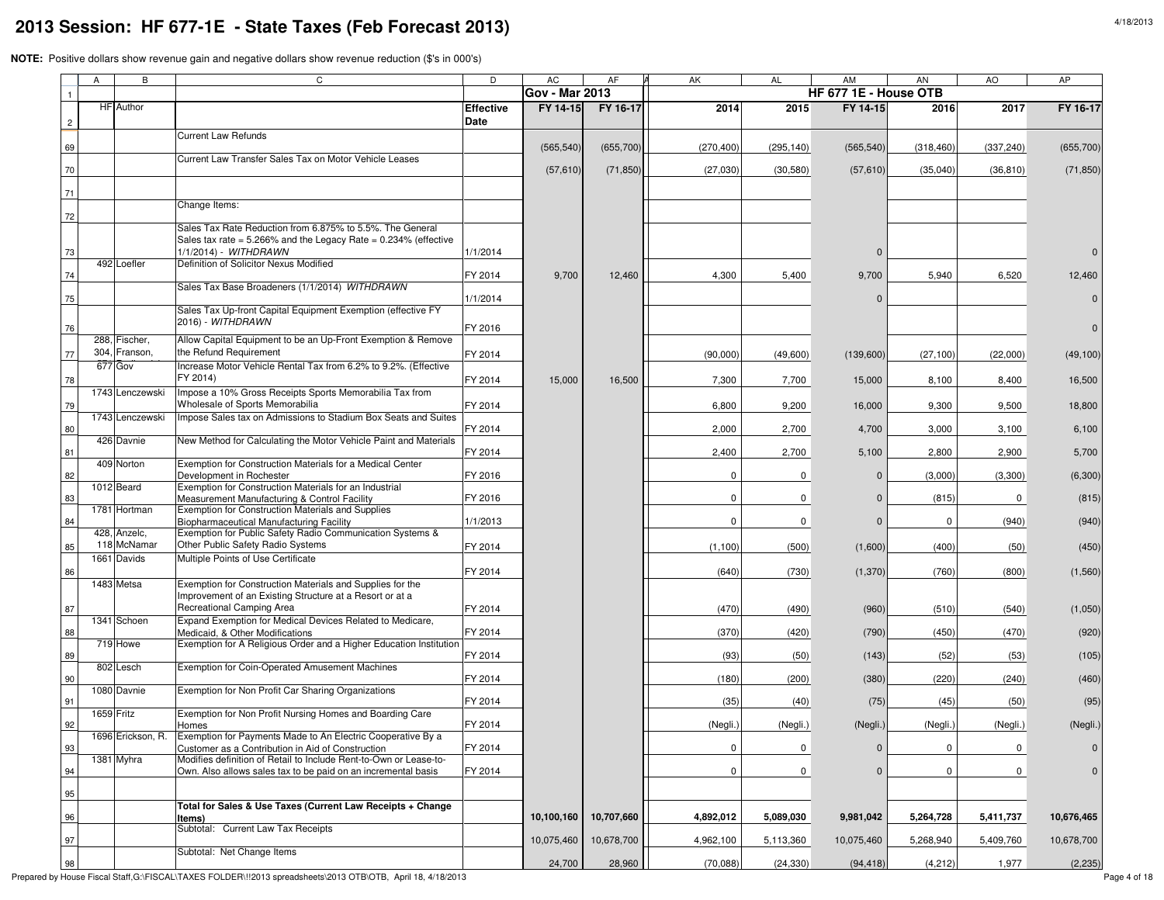|                | A | B                              | C                                                                                                                                  | D                        | <b>AC</b>             | AF         | AK          | <b>AL</b>  | AM                    | AN         | AO         | AP           |
|----------------|---|--------------------------------|------------------------------------------------------------------------------------------------------------------------------------|--------------------------|-----------------------|------------|-------------|------------|-----------------------|------------|------------|--------------|
|                |   |                                |                                                                                                                                    |                          | <b>Gov - Mar 2013</b> |            |             |            | HF 677 1E - House OTB |            |            |              |
| $\overline{c}$ |   | <b>HF</b> Author               |                                                                                                                                    | <b>Effective</b><br>Date | FY 14-15              | FY 16-17   | 2014        | 2015       | FY 14-15              | 2016       | 2017       | FY 16-17     |
|                |   |                                | <b>Current Law Refunds</b>                                                                                                         |                          |                       |            |             |            |                       |            |            |              |
| 69             |   |                                | Current Law Transfer Sales Tax on Motor Vehicle Leases                                                                             |                          | (565, 540)            | (655, 700) | (270, 400)  | (295, 140) | (565, 540)            | (318, 460) | (337, 240) | (655, 700)   |
| 70             |   |                                |                                                                                                                                    |                          | (57, 610)             | (71, 850)  | (27,030)    | (30, 580)  | (57, 610)             | (35,040)   | (36, 810)  | (71, 850)    |
| 71             |   |                                |                                                                                                                                    |                          |                       |            |             |            |                       |            |            |              |
|                |   |                                | Change Items:                                                                                                                      |                          |                       |            |             |            |                       |            |            |              |
| 72             |   |                                | Sales Tax Rate Reduction from 6.875% to 5.5%. The General                                                                          |                          |                       |            |             |            |                       |            |            |              |
| 73             |   |                                | Sales tax rate = $5.266\%$ and the Legacy Rate = $0.234\%$ (effective<br>1/1/2014) - WITHDRAWN                                     | 1/1/2014                 |                       |            |             |            | 0                     |            |            |              |
|                |   | 492 Loefler                    | Definition of Solicitor Nexus Modified                                                                                             |                          |                       |            |             |            |                       |            |            |              |
| 74             |   |                                | Sales Tax Base Broadeners (1/1/2014) WITHDRAWN                                                                                     | FY 2014                  | 9,700                 | 12,460     | 4,300       | 5,400      | 9,700                 | 5,940      | 6,520      | 12,460       |
| 75             |   |                                |                                                                                                                                    | 1/1/2014                 |                       |            |             |            | $\mathbf 0$           |            |            |              |
|                |   |                                | Sales Tax Up-front Capital Equipment Exemption (effective FY<br>2016) - WITHDRAWN                                                  |                          |                       |            |             |            |                       |            |            |              |
| 76             |   |                                |                                                                                                                                    | FY 2016                  |                       |            |             |            |                       |            |            | $\Omega$     |
|                |   | 288, Fischer,<br>304, Franson, | Allow Capital Equipment to be an Up-Front Exemption & Remove<br>the Refund Requirement                                             |                          |                       |            |             |            |                       |            |            |              |
| 77             |   | 677 Gov                        | Increase Motor Vehicle Rental Tax from 6.2% to 9.2%. (Effective                                                                    | FY 2014                  |                       |            | (90,000)    | (49,600)   | (139,600)             | (27, 100)  | (22,000)   | (49, 100)    |
| 78             |   |                                | FY 2014)                                                                                                                           | FY 2014                  | 15,000                | 16,500     | 7,300       | 7,700      | 15,000                | 8,100      | 8,400      | 16,500       |
|                |   | 1743 Lenczewski                | Impose a 10% Gross Receipts Sports Memorabilia Tax from<br>Wholesale of Sports Memorabilia                                         |                          |                       |            |             |            |                       |            |            |              |
| 79             |   | 1743 Lenczewski                | Impose Sales tax on Admissions to Stadium Box Seats and Suites                                                                     | FY 2014                  |                       |            | 6,800       | 9,200      | 16,000                | 9,300      | 9,500      | 18,800       |
| 80             |   |                                |                                                                                                                                    | FY 2014                  |                       |            | 2,000       | 2,700      | 4,700                 | 3,000      | 3,100      | 6,100        |
| 81             |   | 426 Davnie                     | New Method for Calculating the Motor Vehicle Paint and Materials                                                                   | FY 2014                  |                       |            | 2,400       | 2,700      | 5,100                 | 2,800      | 2,900      | 5,700        |
| 82             |   | 409 Norton                     | Exemption for Construction Materials for a Medical Center<br>Development in Rochester                                              | FY 2016                  |                       |            | $\mathbf 0$ | 0          | $\mathbf 0$           | (3,000)    | (3,300)    | (6,300)      |
|                |   | 1012 Beard                     | Exemption for Construction Materials for an Industrial                                                                             |                          |                       |            |             |            |                       |            |            |              |
| 83             |   | 1781 Hortman                   | Measurement Manufacturing & Control Facility<br>Exemption for Construction Materials and Supplies                                  | FY 2016                  |                       |            | $\mathbf 0$ | 0          | $\mathbf 0$           | (815)      | 0          | (815)        |
| 84             |   |                                | Biopharmaceutical Manufacturing Facility                                                                                           | 1/1/2013                 |                       |            | $\mathbf 0$ | 0          | $\Omega$              | 0          | (940)      | (940)        |
|                |   | 428, Anzelc,<br>118 McNamar    | Exemption for Public Safety Radio Communication Systems &<br>Other Public Safety Radio Systems                                     |                          |                       |            |             |            |                       |            |            |              |
| 85             |   | 1661 Davids                    | Multiple Points of Use Certificate                                                                                                 | FY 2014                  |                       |            | (1,100)     | (500)      | (1,600)               | (400)      | (50)       | (450)        |
| 86             |   |                                |                                                                                                                                    | FY 2014                  |                       |            | (640)       | (730)      | (1,370)               | (760)      | (800)      | (1,560)      |
|                |   | 1483 Metsa                     | Exemption for Construction Materials and Supplies for the<br>Improvement of an Existing Structure at a Resort or at a              |                          |                       |            |             |            |                       |            |            |              |
| 87             |   |                                | Recreational Camping Area                                                                                                          | FY 2014                  |                       |            | (470)       | (490)      | (960)                 | (510)      | (540)      | (1,050)      |
|                |   | 1341 Schoen                    | Expand Exemption for Medical Devices Related to Medicare,                                                                          |                          |                       |            |             |            |                       |            |            |              |
| 88             |   | 719 Howe                       | Medicaid, & Other Modifications<br>Exemption for A Religious Order and a Higher Education Institutior                              | FY 2014                  |                       |            | (370)       | (420)      | (790)                 | (450)      | (470)      | (920)        |
| 89             |   | 802 Lesch                      | Exemption for Coin-Operated Amusement Machines                                                                                     | FY 2014                  |                       |            | (93)        | (50)       | (143)                 | (52)       | (53)       | (105)        |
| 90             |   |                                |                                                                                                                                    | FY 2014                  |                       |            | (180)       | (200)      | (380)                 | (220)      | (240)      | (460)        |
| 91             |   | 1080 Davnie                    | Exemption for Non Profit Car Sharing Organizations                                                                                 | FY 2014                  |                       |            | (35)        | (40)       | (75)                  | (45)       | (50)       | (95)         |
|                |   | 1659 Fritz                     | Exemption for Non Profit Nursing Homes and Boarding Care                                                                           |                          |                       |            |             |            |                       |            |            |              |
| 92             |   | 1696 Erickson, R.              | Homes<br>Exemption for Payments Made to An Electric Cooperative By a                                                               | FY 2014                  |                       |            | (Negli.)    | (Negli.)   | (Negli.)              | (Negli.)   | (Negli.)   | (Negli.)     |
| 93             |   |                                | Customer as a Contribution in Aid of Construction                                                                                  | FY 2014                  |                       |            | 0           | 0          | $\mathbf 0$           | 0          | 0          | $\mathbf{0}$ |
| 94             |   | 1381 Myhra                     | Modifies definition of Retail to Include Rent-to-Own or Lease-to-<br>Own. Also allows sales tax to be paid on an incremental basis | FY 2014                  |                       |            | $\mathbf 0$ | 0          | $\mathbf 0$           | 0          | 0          | $\mathbf{0}$ |
|                |   |                                |                                                                                                                                    |                          |                       |            |             |            |                       |            |            |              |
| 95             |   |                                | Total for Sales & Use Taxes (Current Law Receipts + Change                                                                         |                          |                       |            |             |            |                       |            |            |              |
| 96             |   |                                | Items)                                                                                                                             |                          | 10,100,160            | 10,707,660 | 4,892,012   | 5,089,030  | 9,981,042             | 5,264,728  | 5,411,737  | 10,676,465   |
| 97             |   |                                | Subtotal: Current Law Tax Receipts                                                                                                 |                          | 10,075,460            | 10,678,700 | 4,962,100   | 5,113,360  | 10,075,460            | 5,268,940  | 5,409,760  | 10,678,700   |
| 98             |   |                                | Subtotal: Net Change Items                                                                                                         |                          | 24,700                | 28,960     | (70,088)    | (24, 330)  | (94, 418)             | (4,212)    | 1,977      | (2, 235)     |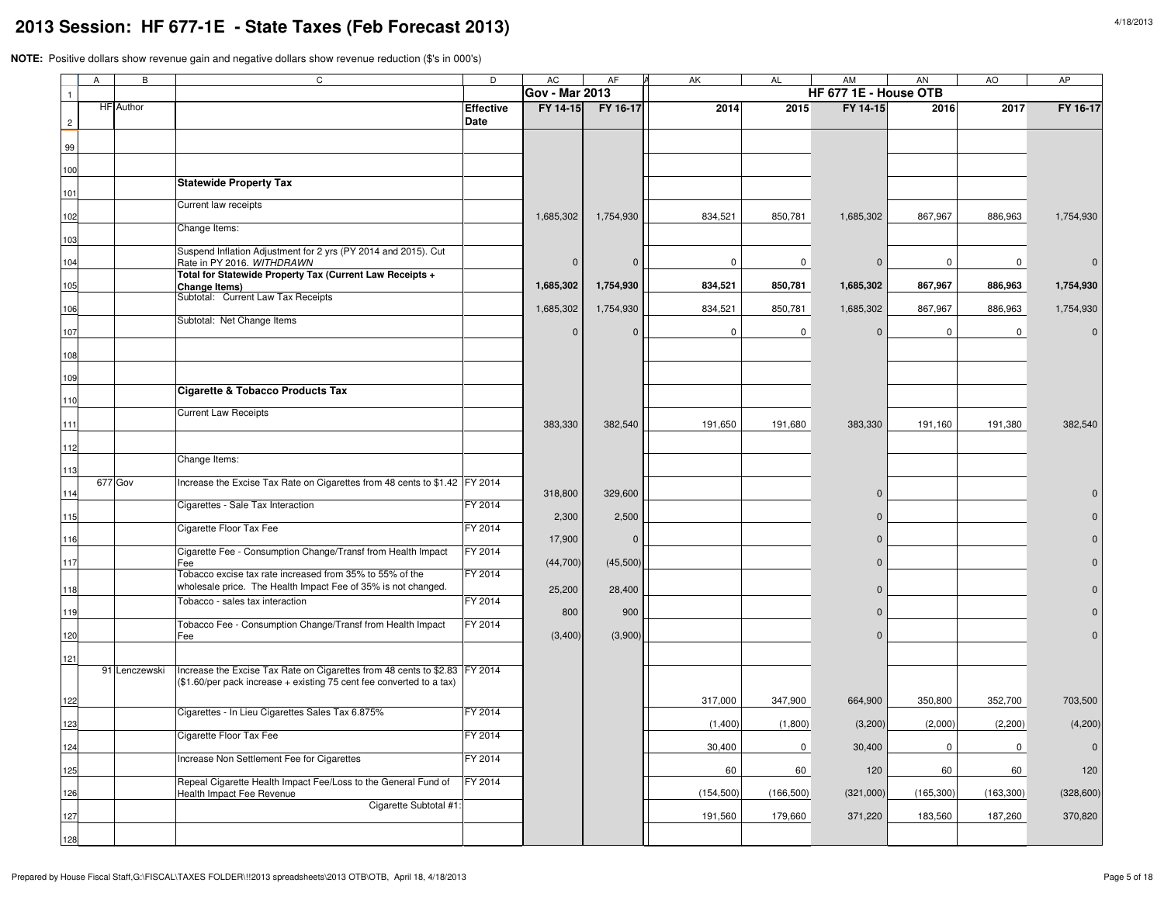|                | $\overline{A}$ | B                | C                                                                                                                                                  | D                               | <b>AC</b>             | AF             | AK          | <b>AL</b>   | AM                    | <b>AN</b>   | AO          | AP          |
|----------------|----------------|------------------|----------------------------------------------------------------------------------------------------------------------------------------------------|---------------------------------|-----------------------|----------------|-------------|-------------|-----------------------|-------------|-------------|-------------|
| $\overline{1}$ |                |                  |                                                                                                                                                    |                                 | <b>Gov - Mar 2013</b> |                |             |             | HF 677 1E - House OTB |             |             |             |
| $\overline{2}$ |                | <b>HF</b> Author |                                                                                                                                                    | <b>Effective</b><br><b>Date</b> | FY 14-15              | FY 16-17       | 2014        | 2015        | FY 14-15              | 2016        | 2017        | FY 16-17    |
|                |                |                  |                                                                                                                                                    |                                 |                       |                |             |             |                       |             |             |             |
| 99             |                |                  |                                                                                                                                                    |                                 |                       |                |             |             |                       |             |             |             |
| 100            |                |                  |                                                                                                                                                    |                                 |                       |                |             |             |                       |             |             |             |
| 101            |                |                  | <b>Statewide Property Tax</b>                                                                                                                      |                                 |                       |                |             |             |                       |             |             |             |
| 102            |                |                  | Current law receipts                                                                                                                               |                                 | 1,685,302             | 1,754,930      | 834,521     | 850,781     | 1,685,302             | 867,967     | 886,963     | 1,754,930   |
| 103            |                |                  | Change Items:                                                                                                                                      |                                 |                       |                |             |             |                       |             |             |             |
| 104            |                |                  | Suspend Inflation Adjustment for 2 yrs (PY 2014 and 2015). Cut<br>Rate in PY 2016. WITHDRAWN                                                       |                                 | $\Omega$              | $\Omega$       | 0           | 0           | $\mathbf 0$           | 0           | 0           |             |
| 105            |                |                  | Total for Statewide Property Tax (Current Law Receipts +<br><b>Change Items)</b>                                                                   |                                 | 1,685,302             | 1,754,930      | 834,521     | 850,781     | 1,685,302             | 867,967     | 886,963     | 1,754,930   |
| 106            |                |                  | Subtotal: Current Law Tax Receipts                                                                                                                 |                                 | 1,685,302             | 1,754,930      | 834,521     | 850,781     | 1,685,302             | 867,967     | 886,963     | 1,754,930   |
|                |                |                  | Subtotal: Net Change Items                                                                                                                         |                                 |                       |                |             |             |                       |             |             |             |
| 107            |                |                  |                                                                                                                                                    |                                 | $\Omega$              | $\mathbf{0}$   | $\mathbf 0$ | 0           | $\mathbf 0$           | 0           | 0           |             |
| 108<br>109     |                |                  |                                                                                                                                                    |                                 |                       |                |             |             |                       |             |             |             |
| 110            |                |                  | Cigarette & Tobacco Products Tax                                                                                                                   |                                 |                       |                |             |             |                       |             |             |             |
| 111            |                |                  | <b>Current Law Receipts</b>                                                                                                                        |                                 | 383,330               | 382,540        | 191,650     | 191,680     | 383,330               | 191,160     | 191,380     | 382,540     |
| 112            |                |                  |                                                                                                                                                    |                                 |                       |                |             |             |                       |             |             |             |
| 113            |                |                  | Change Items:                                                                                                                                      |                                 |                       |                |             |             |                       |             |             |             |
| 114            |                | 677 Gov          | Increase the Excise Tax Rate on Cigarettes from 48 cents to \$1.42 FY 2014                                                                         |                                 | 318,800               | 329,600        |             |             | $\overline{0}$        |             |             |             |
|                |                |                  | Cigarettes - Sale Tax Interaction                                                                                                                  | FY 2014                         |                       | 2,500          |             |             | $\Omega$              |             |             |             |
| 115<br>116     |                |                  | Cigarette Floor Tax Fee                                                                                                                            | FY 2014                         | 2,300<br>17,900       | $\overline{0}$ |             |             | $\Omega$              |             |             |             |
| 117            |                |                  | Cigarette Fee - Consumption Change/Transf from Health Impact<br>Fee                                                                                | FY 2014                         | (44, 700)             | (45,500)       |             |             | $\mathbf{0}$          |             |             |             |
|                |                |                  | Tobacco excise tax rate increased from 35% to 55% of the                                                                                           | FY 2014                         |                       |                |             |             |                       |             |             |             |
| 118            |                |                  | wholesale price. The Health Impact Fee of 35% is not changed.<br>Tobacco - sales tax interaction                                                   | FY 2014                         | 25,200                | 28,400         |             |             | $\Omega$              |             |             |             |
| 119            |                |                  | Tobacco Fee - Consumption Change/Transf from Health Impact                                                                                         | FY 2014                         | 800                   | 900            |             |             | $\Omega$              |             |             |             |
| 120            |                |                  | Fee                                                                                                                                                |                                 | (3,400)               | (3,900)        |             |             | $\Omega$              |             |             |             |
| 121            |                |                  |                                                                                                                                                    |                                 |                       |                |             |             |                       |             |             |             |
|                |                | 91 Lenczewski    | Increase the Excise Tax Rate on Cigarettes from 48 cents to \$2.83 FY 2014<br>(\$1.60/per pack increase + existing 75 cent fee converted to a tax) |                                 |                       |                |             |             |                       |             |             |             |
| 122            |                |                  |                                                                                                                                                    |                                 |                       |                | 317,000     | 347,900     | 664,900               | 350,800     | 352,700     | 703,500     |
| 123            |                |                  | Cigarettes - In Lieu Cigarettes Sales Tax 6.875%                                                                                                   | FY 2014                         |                       |                | (1,400)     | (1,800)     | (3,200)               | (2,000)     | (2,200)     | (4,200)     |
| 124            |                |                  | Cigarette Floor Tax Fee                                                                                                                            | FY 2014                         |                       |                | 30,400      | $\mathbf 0$ | 30,400                | $\mathbf 0$ | $\mathbf 0$ | $\mathbf 0$ |
| 125            |                |                  | Increase Non Settlement Fee for Cigarettes                                                                                                         | FY 2014                         |                       |                | 60          | 60          | 120                   | 60          | 60          | 120         |
| 126            |                |                  | Repeal Cigarette Health Impact Fee/Loss to the General Fund of<br>Health Impact Fee Revenue                                                        | FY 2014                         |                       |                | (154, 500)  | (166, 500)  | (321,000)             | (165, 300)  | (163, 300)  | (328, 600)  |
| 127            |                |                  | Cigarette Subtotal #1:                                                                                                                             |                                 |                       |                | 191,560     | 179,660     | 371,220               | 183,560     | 187,260     | 370,820     |
| 128            |                |                  |                                                                                                                                                    |                                 |                       |                |             |             |                       |             |             |             |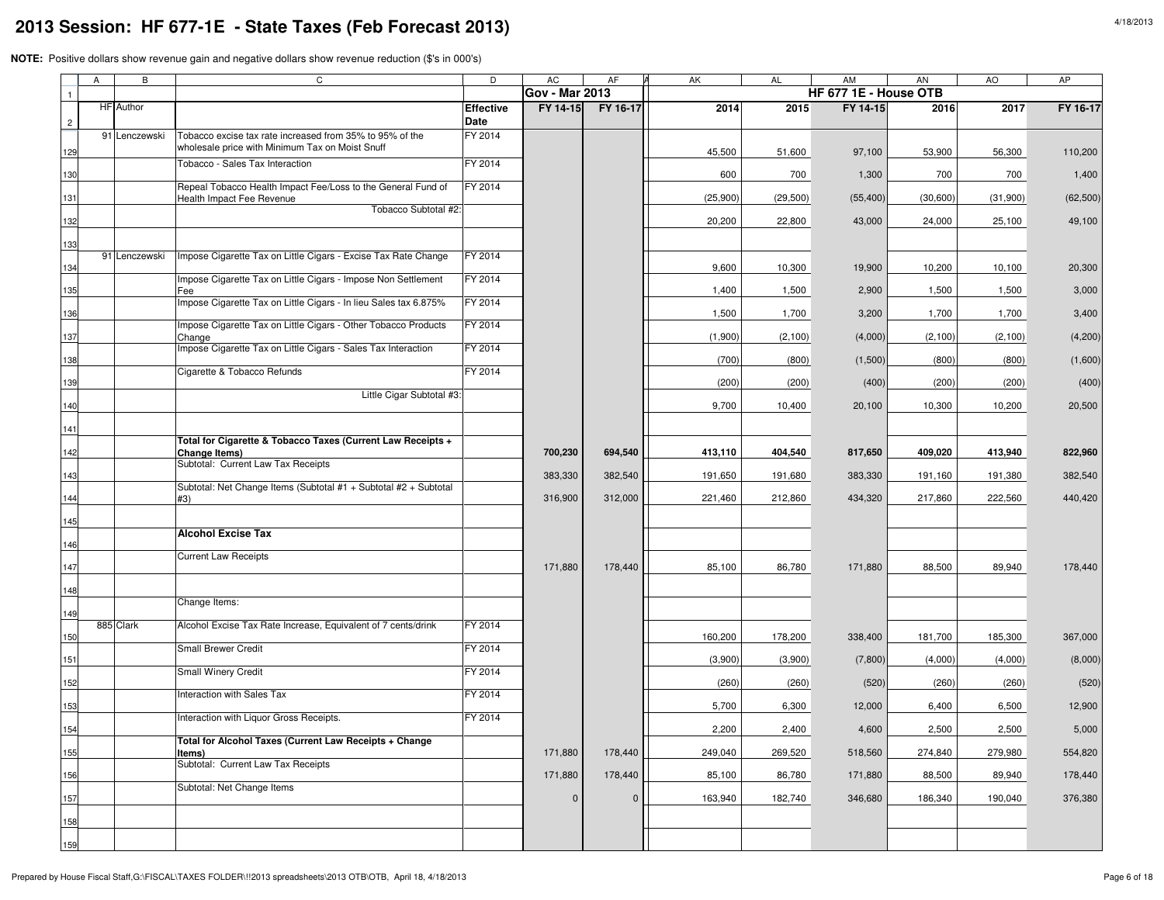|                | Α | В             | C                                                                                                           | D                        | AC                    | AF             | AK       | <b>AL</b> | AM                    | AN       | AO       | AP        |
|----------------|---|---------------|-------------------------------------------------------------------------------------------------------------|--------------------------|-----------------------|----------------|----------|-----------|-----------------------|----------|----------|-----------|
|                |   |               |                                                                                                             |                          | <b>Gov - Mar 2013</b> |                |          |           | HF 677 1E - House OTB |          |          |           |
| $\overline{c}$ |   | HF Author     |                                                                                                             | <b>Effective</b><br>Date | FY 14-15              | FY 16-17       | 2014     | 2015      | FY 14-15              | 2016     | 2017     | FY 16-17  |
| 129            |   | 91 Lenczewski | Tobacco excise tax rate increased from 35% to 95% of the<br>wholesale price with Minimum Tax on Moist Snuff | FY 2014                  |                       |                | 45,500   | 51,600    | 97,100                | 53,900   | 56,300   | 110,200   |
| 130            |   |               | Tobacco - Sales Tax Interaction                                                                             | FY 2014                  |                       |                | 600      | 700       | 1,300                 | 700      | 700      | 1,400     |
| 131            |   |               | Repeal Tobacco Health Impact Fee/Loss to the General Fund of<br><b>Health Impact Fee Revenue</b>            | FY 2014                  |                       |                | (25,900) | (29, 500) | (55, 400)             | (30,600) | (31,900) | (62, 500) |
| 132            |   |               | Tobacco Subtotal #2:                                                                                        |                          |                       |                | 20,200   | 22,800    | 43,000                | 24,000   | 25,100   | 49,100    |
| 133            |   |               |                                                                                                             |                          |                       |                |          |           |                       |          |          |           |
| 134            |   | 91 Lenczewski | Impose Cigarette Tax on Little Cigars - Excise Tax Rate Change                                              | FY 2014                  |                       |                | 9,600    | 10,300    | 19,900                | 10,200   | 10,100   | 20,300    |
| 135            |   |               | Impose Cigarette Tax on Little Cigars - Impose Non Settlement<br>Fee                                        | FY 2014                  |                       |                | 1,400    | 1,500     | 2,900                 | 1,500    | 1,500    | 3,000     |
| 136            |   |               | Impose Cigarette Tax on Little Cigars - In lieu Sales tax 6.875%                                            | FY 2014                  |                       |                | 1,500    | 1,700     | 3,200                 | 1,700    | 1,700    | 3,400     |
| 137            |   |               | Impose Cigarette Tax on Little Cigars - Other Tobacco Products<br>Change                                    | FY 2014                  |                       |                | (1,900)  | (2,100)   | (4,000)               | (2, 100) | (2, 100) | (4,200)   |
| 138            |   |               | Impose Cigarette Tax on Little Cigars - Sales Tax Interaction                                               | FY 2014                  |                       |                | (700)    | (800)     | (1,500)               | (800)    | (800)    | (1,600)   |
| 139            |   |               | Cigarette & Tobacco Refunds                                                                                 | FY 2014                  |                       |                | (200)    | (200)     | (400)                 | (200)    | (200)    | (400)     |
| 140            |   |               | Little Cigar Subtotal #3:                                                                                   |                          |                       |                | 9,700    | 10,400    | 20,100                | 10,300   | 10,200   | 20,500    |
| 141            |   |               |                                                                                                             |                          |                       |                |          |           |                       |          |          |           |
| 142            |   |               | Total for Cigarette & Tobacco Taxes (Current Law Receipts +<br>Change Items)                                |                          | 700,230               | 694,540        | 413,110  | 404,540   | 817,650               | 409,020  | 413,940  | 822,960   |
| 143            |   |               | Subtotal: Current Law Tax Receipts                                                                          |                          | 383,330               | 382,540        | 191,650  | 191,680   | 383,330               | 191,160  | 191,380  | 382,540   |
| 144            |   |               | Subtotal: Net Change Items (Subtotal #1 + Subtotal #2 + Subtotal<br>#3)                                     |                          | 316,900               | 312,000        | 221,460  | 212,860   | 434,320               | 217,860  | 222,560  | 440,420   |
| 145            |   |               |                                                                                                             |                          |                       |                |          |           |                       |          |          |           |
| 146            |   |               | <b>Alcohol Excise Tax</b>                                                                                   |                          |                       |                |          |           |                       |          |          |           |
| 147            |   |               | <b>Current Law Receipts</b>                                                                                 |                          | 171,880               | 178,440        | 85,100   | 86,780    | 171,880               | 88,500   | 89,940   | 178,440   |
| 148            |   |               |                                                                                                             |                          |                       |                |          |           |                       |          |          |           |
| 149            |   |               | Change Items:                                                                                               |                          |                       |                |          |           |                       |          |          |           |
| 150            |   | 885 Clark     | Alcohol Excise Tax Rate Increase, Equivalent of 7 cents/drink                                               | FY 2014                  |                       |                | 160,200  | 178,200   | 338,400               | 181,700  | 185,300  | 367,000   |
| 151            |   |               | Small Brewer Credit                                                                                         | FY 2014                  |                       |                | (3,900)  | (3,900)   | (7,800)               | (4,000)  | (4,000)  | (8,000)   |
| 152            |   |               | Small Winery Credit                                                                                         | FY 2014                  |                       |                | (260)    | (260)     | (520)                 | (260)    | (260)    | (520)     |
| 153            |   |               | Interaction with Sales Tax                                                                                  | FY 2014                  |                       |                | 5,700    | 6,300     | 12,000                | 6,400    | 6,500    | 12,900    |
| 154            |   |               | Interaction with Liquor Gross Receipts.                                                                     | FY 2014                  |                       |                | 2,200    | 2,400     | 4,600                 | 2,500    | 2,500    | 5,000     |
| 155            |   |               | Total for Alcohol Taxes (Current Law Receipts + Change<br>ltems)                                            |                          | 171,880               | 178,440        | 249,040  | 269,520   | 518,560               | 274,840  | 279,980  | 554,820   |
| 156            |   |               | Subtotal: Current Law Tax Receipts                                                                          |                          | 171,880               | 178,440        | 85,100   | 86,780    | 171,880               | 88,500   | 89,940   | 178,440   |
| 157            |   |               | Subtotal: Net Change Items                                                                                  |                          | $\mathbf{0}$          | $\overline{0}$ | 163,940  | 182,740   | 346,680               | 186,340  | 190,040  | 376,380   |
| 158            |   |               |                                                                                                             |                          |                       |                |          |           |                       |          |          |           |
| 159            |   |               |                                                                                                             |                          |                       |                |          |           |                       |          |          |           |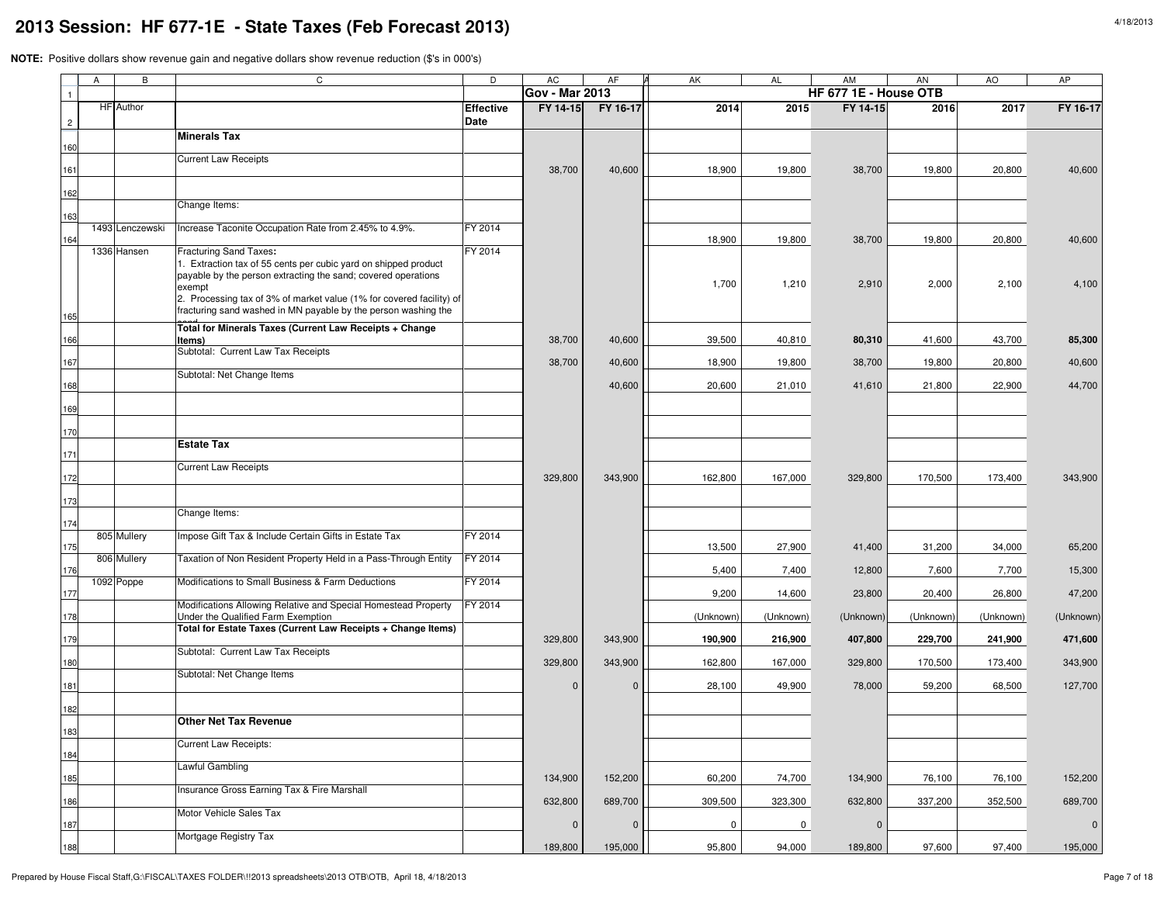|                | A | $\overline{B}$   | C                                                                                                                                                                                                                                                   | D                               | <b>AC</b>             | AF           | AK        | <b>AL</b> | <b>AM</b>             | <b>AN</b> | AO        | AP          |
|----------------|---|------------------|-----------------------------------------------------------------------------------------------------------------------------------------------------------------------------------------------------------------------------------------------------|---------------------------------|-----------------------|--------------|-----------|-----------|-----------------------|-----------|-----------|-------------|
|                |   |                  |                                                                                                                                                                                                                                                     |                                 | <b>Gov - Mar 2013</b> |              |           |           | HF 677 1E - House OTB |           |           |             |
| $\overline{2}$ |   | <b>HF</b> Author |                                                                                                                                                                                                                                                     | <b>Effective</b><br><b>Date</b> | FY 14-15              | FY 16-17     | 2014      | 2015      | FY 14-15              | 2016      | 2017      | FY 16-17    |
| 160            |   |                  | <b>Minerals Tax</b>                                                                                                                                                                                                                                 |                                 |                       |              |           |           |                       |           |           |             |
| 161            |   |                  | <b>Current Law Receipts</b>                                                                                                                                                                                                                         |                                 | 38,700                | 40,600       | 18,900    | 19,800    | 38,700                | 19,800    | 20,800    | 40,600      |
| 162            |   |                  |                                                                                                                                                                                                                                                     |                                 |                       |              |           |           |                       |           |           |             |
| 163            |   |                  | Change Items:                                                                                                                                                                                                                                       |                                 |                       |              |           |           |                       |           |           |             |
| 164            |   | 1493 Lenczewski  | Increase Taconite Occupation Rate from 2.45% to 4.9%.                                                                                                                                                                                               | FY 2014                         |                       |              | 18,900    | 19,800    | 38,700                | 19,800    | 20,800    | 40,600      |
|                |   | 1336 Hansen      | <b>Fracturing Sand Taxes:</b><br>1. Extraction tax of 55 cents per cubic yard on shipped product<br>payable by the person extracting the sand; covered operations<br>exempt<br>2. Processing tax of 3% of market value (1% for covered facility) of | FY 2014                         |                       |              | 1,700     | 1,210     | 2,910                 | 2,000     | 2,100     | 4,100       |
| 165            |   |                  | fracturing sand washed in MN payable by the person washing the                                                                                                                                                                                      |                                 |                       |              |           |           |                       |           |           |             |
| 166            |   |                  | Total for Minerals Taxes (Current Law Receipts + Change<br>ltems)                                                                                                                                                                                   |                                 | 38,700                | 40,600       | 39,500    | 40,810    | 80,310                | 41,600    | 43,700    | 85,300      |
| 167            |   |                  | Subtotal: Current Law Tax Receipts                                                                                                                                                                                                                  |                                 | 38,700                | 40,600       | 18,900    | 19,800    | 38,700                | 19,800    | 20,800    | 40,600      |
| 168            |   |                  | Subtotal: Net Change Items                                                                                                                                                                                                                          |                                 |                       | 40,600       | 20,600    | 21,010    | 41,610                | 21,800    | 22,900    | 44,700      |
| 169            |   |                  |                                                                                                                                                                                                                                                     |                                 |                       |              |           |           |                       |           |           |             |
| 170            |   |                  |                                                                                                                                                                                                                                                     |                                 |                       |              |           |           |                       |           |           |             |
| 171            |   |                  | <b>Estate Tax</b>                                                                                                                                                                                                                                   |                                 |                       |              |           |           |                       |           |           |             |
| 172            |   |                  | <b>Current Law Receipts</b>                                                                                                                                                                                                                         |                                 | 329,800               | 343,900      | 162,800   | 167,000   | 329,800               | 170,500   | 173,400   | 343,900     |
| 173            |   |                  | Change Items:                                                                                                                                                                                                                                       |                                 |                       |              |           |           |                       |           |           |             |
| 174            |   | 805 Mullery      | Impose Gift Tax & Include Certain Gifts in Estate Tax                                                                                                                                                                                               | FY 2014                         |                       |              |           |           |                       |           |           |             |
| 175            |   | 806 Mullery      | Taxation of Non Resident Property Held in a Pass-Through Entity                                                                                                                                                                                     | FY 2014                         |                       |              | 13,500    | 27,900    | 41,400                | 31,200    | 34,000    | 65,200      |
| 176            |   | 1092 Poppe       | Modifications to Small Business & Farm Deductions                                                                                                                                                                                                   | FY 2014                         |                       |              | 5,400     | 7,400     | 12,800                | 7,600     | 7,700     | 15,300      |
| 177            |   |                  | Modifications Allowing Relative and Special Homestead Property                                                                                                                                                                                      | FY 2014                         |                       |              | 9,200     | 14,600    | 23,800                | 20,400    | 26,800    | 47,200      |
| 178            |   |                  | Under the Qualified Farm Exemption<br>Total for Estate Taxes (Current Law Receipts + Change Items)                                                                                                                                                  |                                 |                       |              | (Unknown) | (Unknown) | (Unknown)             | (Unknown) | (Unknown) | (Unknown)   |
| 179            |   |                  | Subtotal: Current Law Tax Receipts                                                                                                                                                                                                                  |                                 | 329,800               | 343,900      | 190,900   | 216,900   | 407,800               | 229,700   | 241,900   | 471,600     |
| 180            |   |                  | Subtotal: Net Change Items                                                                                                                                                                                                                          |                                 | 329,800               | 343,900      | 162,800   | 167,000   | 329,800               | 170,500   | 173,400   | 343,900     |
| 181            |   |                  |                                                                                                                                                                                                                                                     |                                 |                       | $\mathbf{0}$ | 28,100    | 49,900    | 78,000                | 59,200    | 68,500    | 127,700     |
| 182            |   |                  | <b>Other Net Tax Revenue</b>                                                                                                                                                                                                                        |                                 |                       |              |           |           |                       |           |           |             |
| 183<br>184     |   |                  | Current Law Receipts:                                                                                                                                                                                                                               |                                 |                       |              |           |           |                       |           |           |             |
| 185            |   |                  | Lawful Gambling                                                                                                                                                                                                                                     |                                 | 134,900               | 152,200      | 60,200    | 74,700    | 134,900               | 76,100    | 76,100    | 152,200     |
| 186            |   |                  | Insurance Gross Earning Tax & Fire Marshall                                                                                                                                                                                                         |                                 | 632,800               | 689,700      | 309,500   | 323,300   | 632,800               | 337,200   | 352,500   | 689,700     |
| 187            |   |                  | Motor Vehicle Sales Tax                                                                                                                                                                                                                             |                                 | $\mathbf{0}$          | $\mathbf 0$  | $\pmb{0}$ | 0         | $\mathbf 0$           |           |           | $\mathbf 0$ |
| 188            |   |                  | Mortgage Registry Tax                                                                                                                                                                                                                               |                                 | 189,800               | 195,000      | 95,800    | 94,000    | 189,800               | 97,600    | 97,400    | 195,000     |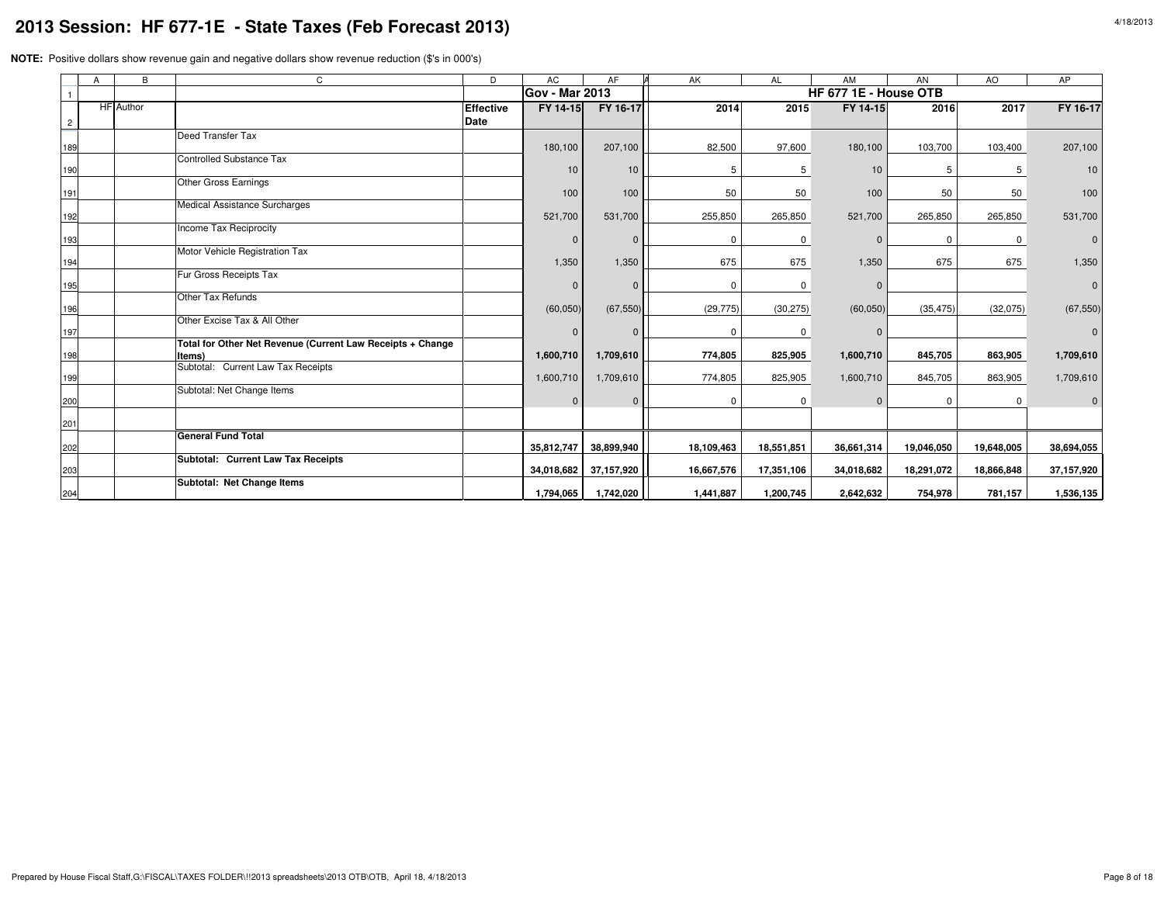|                | $\overline{A}$ | B                | $\mathsf{C}$                                               | D                | AC                    | AF         | AK         | <b>AL</b>   | AM                    | AN         | AO           | AP         |
|----------------|----------------|------------------|------------------------------------------------------------|------------------|-----------------------|------------|------------|-------------|-----------------------|------------|--------------|------------|
|                |                |                  |                                                            |                  | <b>Gov - Mar 2013</b> |            |            |             | HF 677 1E - House OTB |            |              |            |
|                |                | <b>HF</b> Author |                                                            | <b>Effective</b> | FY 14-15              | FY 16-17   | 2014       | 2015        | FY 14-15              | 2016       | 2017         | FY 16-17   |
| $\overline{c}$ |                |                  |                                                            | Date             |                       |            |            |             |                       |            |              |            |
|                |                |                  | Deed Transfer Tax                                          |                  |                       |            |            |             |                       |            |              |            |
| 189            |                |                  | <b>Controlled Substance Tax</b>                            |                  | 180,100               | 207,100    | 82,500     | 97,600      | 180,100               | 103,700    | 103,400      | 207,100    |
| 190            |                |                  |                                                            |                  | 10                    | 10         | 5          | 5           | 10                    | 5          | 5            | 10         |
|                |                |                  | <b>Other Gross Earnings</b>                                |                  |                       |            |            |             |                       |            |              |            |
| 191            |                |                  |                                                            |                  | 100                   | 100        | 50         | 50          | 100                   | 50         | 50           | 100        |
| 192            |                |                  | Medical Assistance Surcharges                              |                  | 521,700               | 531,700    | 255,850    | 265,850     | 521,700               | 265,850    | 265,850      | 531,700    |
|                |                |                  | Income Tax Reciprocity                                     |                  |                       |            |            |             |                       |            |              |            |
| 193            |                |                  |                                                            |                  |                       | $\Omega$   | $\Omega$   | 0           |                       | $\Omega$   | $\mathsf{O}$ |            |
|                |                |                  | Motor Vehicle Registration Tax                             |                  |                       |            |            |             |                       |            |              |            |
| 194            |                |                  | Fur Gross Receipts Tax                                     |                  | 1,350                 | 1,350      | 675        | 675         | 1,350                 | 675        | 675          | 1,350      |
| 195            |                |                  |                                                            |                  |                       | $\Omega$   | $\Omega$   | $\mathbf 0$ |                       |            |              |            |
|                |                |                  | Other Tax Refunds                                          |                  |                       |            |            |             |                       |            |              |            |
| 196            |                |                  |                                                            |                  | (60, 050)             | (67, 550)  | (29, 775)  | (30, 275)   | (60, 050)             | (35, 475)  | (32,075)     | (67, 550)  |
| 197            |                |                  | Other Excise Tax & All Other                               |                  |                       | $\Omega$   | $\Omega$   | 0           |                       |            |              |            |
|                |                |                  | Total for Other Net Revenue (Current Law Receipts + Change |                  |                       |            |            |             |                       |            |              |            |
| 198            |                |                  | Items)                                                     |                  | 1,600,710             | 1,709,610  | 774,805    | 825,905     | 1,600,710             | 845,705    | 863,905      | 1,709,610  |
|                |                |                  | Subtotal: Current Law Tax Receipts                         |                  | 1,600,710             | 1,709,610  | 774,805    | 825,905     | 1,600,710             | 845,705    | 863,905      | 1,709,610  |
| 199            |                |                  | Subtotal: Net Change Items                                 |                  |                       |            |            |             |                       |            |              |            |
| 200            |                |                  |                                                            |                  | $\Omega$              | $\Omega$   | 0          | 0           |                       | $\Omega$   | 0            |            |
| 201            |                |                  |                                                            |                  |                       |            |            |             |                       |            |              |            |
|                |                |                  | <b>General Fund Total</b>                                  |                  |                       |            |            |             |                       |            |              |            |
| 202            |                |                  |                                                            |                  | 35,812,747            | 38,899,940 | 18,109,463 | 18,551,851  | 36,661,314            | 19,046,050 | 19,648,005   | 38,694,055 |
|                |                |                  | Subtotal: Current Law Tax Receipts                         |                  |                       | 37,157,920 | 16,667,576 | 17,351,106  | 34,018,682            | 18,291,072 | 18,866,848   |            |
| 203            |                |                  | Subtotal: Net Change Items                                 |                  | 34,018,682            |            |            |             |                       |            |              | 37,157,920 |
| 204            |                |                  |                                                            |                  | 1,794,065             | 1,742,020  | 1,441,887  | 1,200,745   | 2,642,632             | 754,978    | 781,157      | 1,536,135  |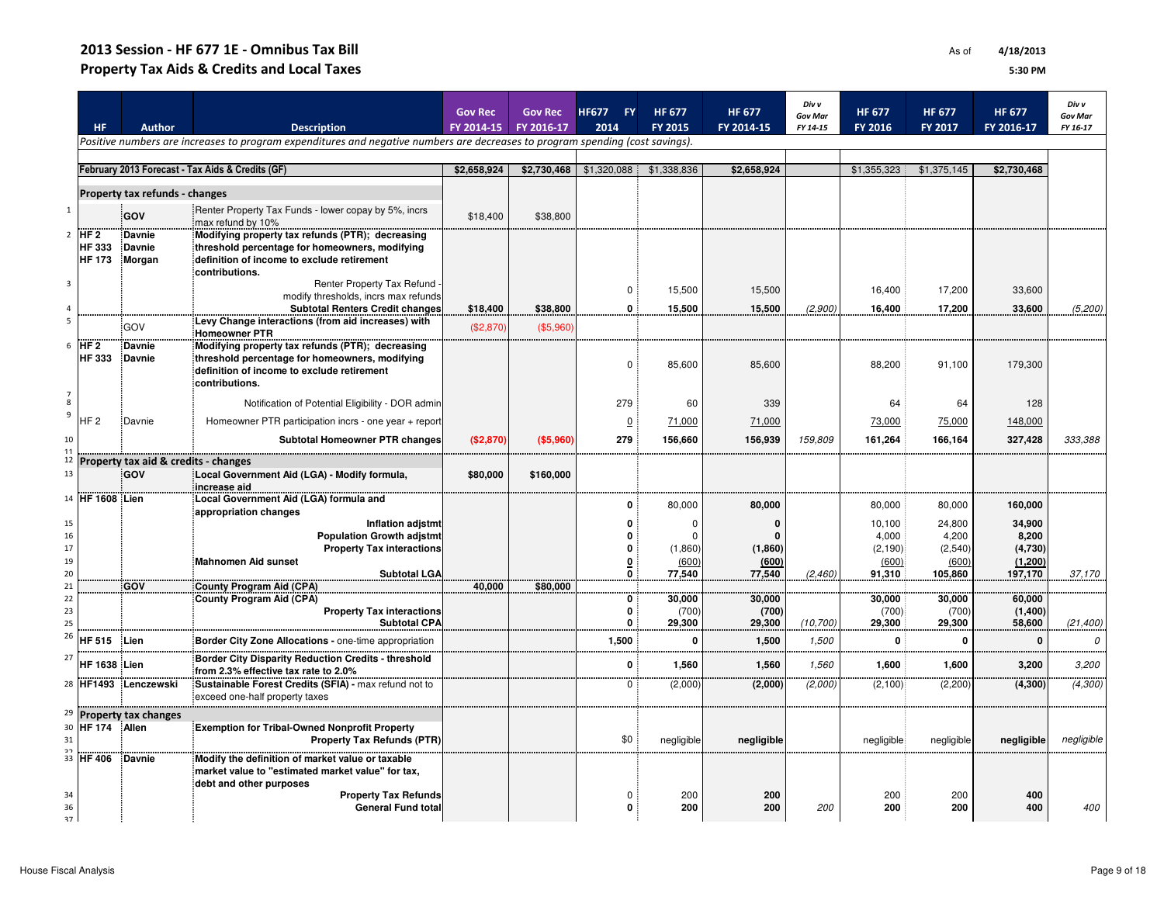## 2013 Session - HF 677 1E - Omnibus Tax BillProperty Tax Aids & Credits and Local Taxes

|              |                                |                                      |                                                                                                                               | <b>Gov Rec</b> | <b>Gov Rec</b> | <b>HF677</b><br><b>FY</b>    | <b>HF 677</b>           | <b>HF 677</b>    | Div v<br><b>Gov Mar</b> | <b>HF 677</b>        | <b>HF 677</b>           | <b>HF 677</b>      | Div v<br><b>Gov Mar</b> |
|--------------|--------------------------------|--------------------------------------|-------------------------------------------------------------------------------------------------------------------------------|----------------|----------------|------------------------------|-------------------------|------------------|-------------------------|----------------------|-------------------------|--------------------|-------------------------|
|              | <b>HF</b>                      | <b>Author</b>                        | <b>Description</b>                                                                                                            | FY 2014-15     | FY 2016-17     | 2014                         | <b>FY 2015</b>          | FY 2014-15       | FY 14-15                | FY 2016              | FY 2017                 | FY 2016-17         | FY 16-17                |
|              |                                |                                      | Positive numbers are increases to program expenditures and negative numbers are decreases to program spending (cost savings). |                |                |                              |                         |                  |                         |                      |                         |                    |                         |
|              |                                |                                      | February 2013 Forecast - Tax Aids & Credits (GF)                                                                              | \$2,658,924    | \$2,730,468    |                              | \$1,320,088 \$1,338,836 | \$2,658,924      |                         |                      | \$1,355,323 \$1,375,145 | \$2,730,468        |                         |
|              |                                |                                      |                                                                                                                               |                |                |                              |                         |                  |                         |                      |                         |                    |                         |
| 1            |                                | Property tax refunds - changes       | : Renter Property Tax Funds - lower copay by 5%, incrs                                                                        |                |                |                              |                         |                  |                         |                      |                         |                    |                         |
|              |                                | GOV                                  | max refund by 10%                                                                                                             | \$18,400       | \$38,800       |                              |                         |                  |                         |                      |                         |                    |                         |
| $2^{\circ}$  | HF <sub>2</sub>                | <b>Davnie</b>                        | Modifying property tax refunds (PTR); decreasing                                                                              |                |                |                              |                         |                  |                         |                      |                         |                    |                         |
|              | <b>HF 333</b><br><b>HF 173</b> | Davnie<br>Morgan                     | threshold percentage for homeowners, modifying<br>definition of income to exclude retirement                                  |                |                |                              |                         |                  |                         |                      |                         |                    |                         |
|              |                                |                                      | contributions.                                                                                                                |                |                |                              |                         |                  |                         |                      |                         |                    |                         |
| $\mathbf{3}$ |                                |                                      | Renter Property Tax Refund<br>modify thresholds, incrs max refunds                                                            |                |                | 0:                           | 15,500                  | 15,500           |                         | 16,400               | 17,200                  | 33,600             |                         |
| 4            |                                |                                      | <b>Subtotal Renters Credit changes</b>                                                                                        | \$18,400       | \$38,800       | $\mathbf{0}$ :               | 15,500                  | 15,500           | (2,900)                 | 16,400               | 17,200                  | 33,600             | (5, 200)                |
|              |                                | GOV                                  | Levy Change interactions (from aid increases) with<br><b>Homeowner PTR</b>                                                    | (\$2,870)      | (\$5,960       |                              |                         |                  |                         |                      |                         |                    |                         |
|              | $6$ HF 2                       | Davnie                               | Modifying property tax refunds (PTR); decreasing                                                                              |                |                |                              |                         |                  |                         |                      |                         |                    |                         |
|              | <b>HF 333</b>                  | .Davnie                              | threshold percentage for homeowners, modifying                                                                                |                |                | 0:                           | 85,600                  | 85,600           |                         | 88,200               | 91,100                  | 179,300            |                         |
|              |                                |                                      | definition of income to exclude retirement<br>contributions.                                                                  |                |                |                              |                         |                  |                         |                      |                         |                    |                         |
| 8            |                                |                                      | Notification of Potential Eligibility - DOR admin                                                                             |                |                | 279                          | 60                      | 339              |                         | 64                   | 64                      | 128                |                         |
| 9            | HF <sub>2</sub>                | Davnie                               | Homeowner PTR participation incrs - one year + report                                                                         |                |                | $\overline{0}$               | 71,000                  | 71,000           |                         | 73,000               | 75,000                  | 148,000            |                         |
| 10           |                                |                                      | <b>Subtotal Homeowner PTR changes</b>                                                                                         | (\$2,870)      | (\$5,960"      | 279                          | 156,660                 | 156,939          | 159,809                 | 161,264              | 166,164                 | 327,428            | 333,388                 |
| 12           |                                | Property tax aid & credits - changes |                                                                                                                               |                |                |                              |                         |                  |                         |                      |                         |                    |                         |
| 13           |                                | <b>GOV</b>                           | Local Government Aid (LGA) - Modify formula,<br>increase aid                                                                  | \$80,000       | \$160,000      |                              |                         |                  |                         |                      |                         |                    |                         |
|              | 14 HF 1608 Lien                |                                      | Local Government Aid (LGA) formula and<br>appropriation changes                                                               |                |                | 0                            | 80,000                  | 80,000           |                         | 80,000               | 80,000                  | 160,000            |                         |
| 15           |                                |                                      | <b>Inflation adjstmt</b>                                                                                                      |                |                | 0                            | $\Omega$                | $\mathbf 0$      |                         | 10,100               | 24,800                  | 34,900             |                         |
| 16           |                                |                                      | <b>Population Growth adjstmt</b>                                                                                              |                |                | Û                            | $\Omega$                | $\Omega$         |                         | 4,000                | 4.200                   | 8,200              |                         |
| 17<br>19     |                                |                                      | <b>Property Tax interactions</b><br>Mahnomen Aid sunset                                                                       |                |                | 0<br>$\overline{\mathbf{0}}$ | (1,860)<br>(600)        | (1,860)<br>(600) |                         | $(2,190)$ :<br>(600) | (2,540)<br>(600)        | (4,730)<br>(1,200) |                         |
| 20           |                                |                                      | <b>Subtotal LGA</b>                                                                                                           |                |                | 0                            | 77,540                  | 77,540           | (2, 460)                | 91,310               | 105,860                 | 197,170            | 37,170                  |
| 21<br>22     |                                | <b>GOV</b>                           | <b>County Program Aid (CPA)</b><br>County Program Aid (CPA)                                                                   | 40,000         | \$80,000       | 0                            | 30,000                  | 30,000           |                         | 30,000               | 30.000                  | 60,000             |                         |
| 23           |                                |                                      | <b>Property Tax interactions</b>                                                                                              |                |                | 0                            | (700)                   | (700)            |                         | (700)                | (700)                   | (1,400)            |                         |
| 25<br>26     |                                |                                      | <b>Subtotal CPA</b>                                                                                                           |                |                | 0                            | 29,300                  | 29,300           | (10, 700)               | 29,300               | 29,300                  | 58,600             | (21, 400)               |
|              | HF 515                         | Lien                                 | Border City Zone Allocations - one-time appropriation                                                                         |                |                | 1,500                        | 0                       | 1,500            | 1,500                   | 0                    | $\mathbf 0$             | $\mathbf 0$        | 0                       |
| 27           | HF 1638 Lien                   |                                      | Border City Disparity Reduction Credits - threshold<br>from 2.3% effective tax rate to 2.0%                                   |                |                | 0                            | 1,560                   | 1,560            | 1,560                   | 1,600                | 1,600                   | 3,200              | 3,200                   |
|              |                                | 28 HF1493 Lenczewski                 | Sustainable Forest Credits (SFIA) - max refund not to<br>exceed one-half property taxes                                       |                |                | $\Omega$                     | (2,000)                 | (2,000)          | (2,000)                 | (2, 100)             | (2, 200)                | (4, 300)           | (4,300)                 |
| 29           |                                | <b>Property tax changes</b>          |                                                                                                                               |                |                |                              |                         |                  |                         |                      |                         |                    |                         |
| 30<br>31     | HF 174                         | Allen                                | <b>Exemption for Tribal-Owned Nonprofit Property</b><br><b>Property Tax Refunds (PTR)</b>                                     |                |                | \$0                          | negligible              | negligible       |                         | negligible           | negligible              | negligible         | negligible              |
|              | 33 HF 406                      | Davnie                               | Modify the definition of market value or taxable                                                                              |                |                |                              |                         |                  |                         |                      |                         |                    |                         |
|              |                                |                                      | market value to "estimated market value" for tax,                                                                             |                |                |                              |                         |                  |                         |                      |                         |                    |                         |
|              |                                |                                      | debt and other purposes                                                                                                       |                |                |                              |                         |                  |                         |                      |                         |                    |                         |
| 34<br>36     |                                |                                      | <b>Property Tax Refunds</b><br><b>General Fund total</b>                                                                      |                |                | 0                            | 200<br>200              | 200<br>200       | 200                     | 200<br>200           | 200<br>200              | 400<br>400         | 400                     |
| 37           |                                |                                      |                                                                                                                               |                |                |                              |                         |                  |                         |                      |                         |                    |                         |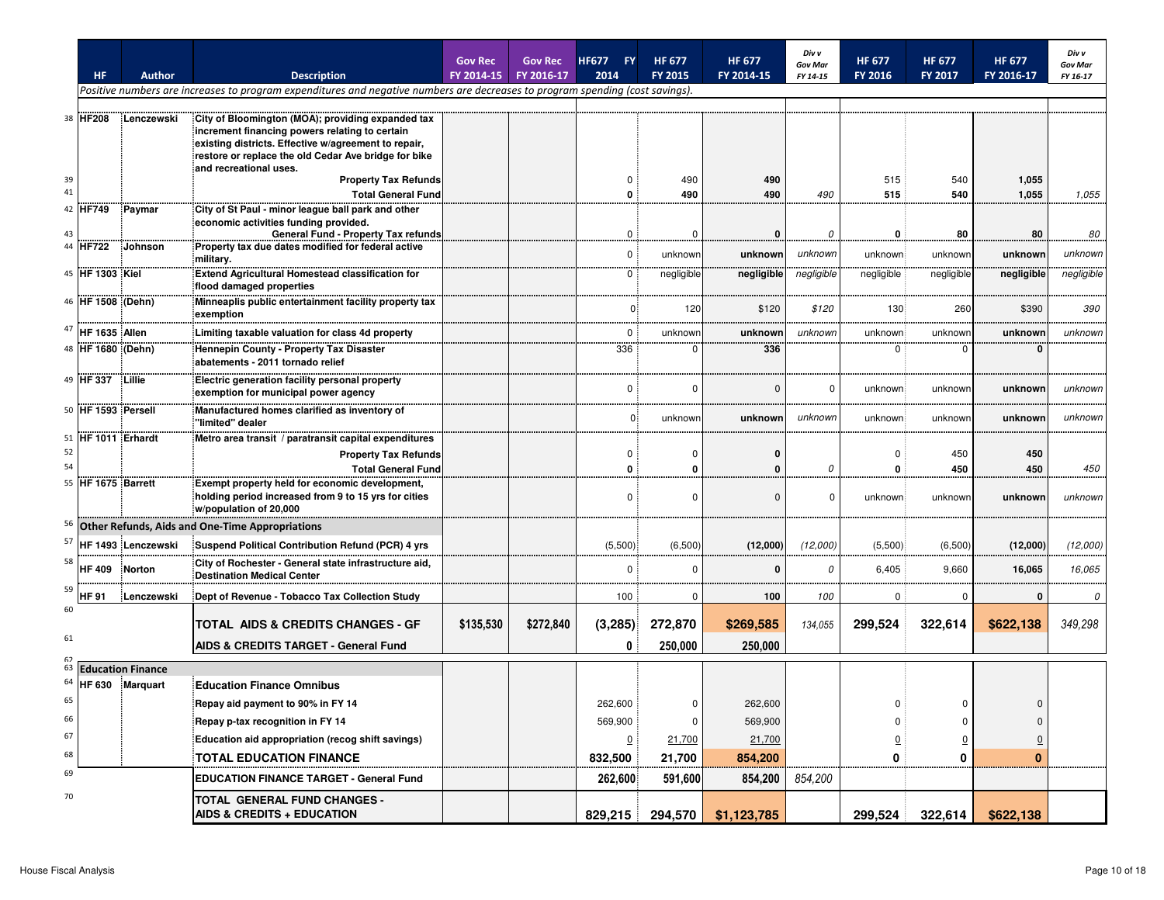|    |                    |                          |                                                                                                                               | <b>Gov Rec</b> | <b>Gov Rec</b> | <b>HF677</b><br><b>FY</b> | <b>HF 677</b>  | <b>HF 677</b> | Div v<br><b>Gov Mar</b> | <b>HF 677</b>    | <b>HF 677</b>  | <b>HF 677</b>  | Div v<br><b>Gov Mar</b> |
|----|--------------------|--------------------------|-------------------------------------------------------------------------------------------------------------------------------|----------------|----------------|---------------------------|----------------|---------------|-------------------------|------------------|----------------|----------------|-------------------------|
|    | <b>HF</b>          | <b>Author</b>            | <b>Description</b>                                                                                                            | FY 2014-15     | FY 2016-17     | 2014                      | <b>FY 2015</b> | FY 2014-15    | FY 14-15                | FY 2016          | <b>FY 2017</b> | FY 2016-17     | FY 16-17                |
|    |                    |                          | Positive numbers are increases to program expenditures and negative numbers are decreases to program spending (cost savings). |                |                |                           |                |               |                         |                  |                |                |                         |
|    | 38 HF208           | Lenczewski               | City of Bloomington (MOA); providing expanded tax                                                                             |                |                |                           |                |               |                         |                  |                |                |                         |
|    |                    |                          | increment financing powers relating to certain                                                                                |                |                |                           |                |               |                         |                  |                |                |                         |
|    |                    |                          | existing districts. Effective w/agreement to repair,                                                                          |                |                |                           |                |               |                         |                  |                |                |                         |
|    |                    |                          | restore or replace the old Cedar Ave bridge for bike<br>and recreational uses.                                                |                |                |                           |                |               |                         |                  |                |                |                         |
| 39 |                    |                          | <b>Property Tax Refunds</b>                                                                                                   |                |                |                           | 490            | 490           |                         | 515              | 540            | 1,055          |                         |
| 41 |                    |                          | <b>Total General Fund</b>                                                                                                     |                |                | O                         | 490            | 490           | 490                     | 515              | 540            | 1,055          | 1,055                   |
|    | 42 HF749           | Paymar                   | City of St Paul - minor league ball park and other<br>economic activities funding provided.                                   |                |                |                           |                |               |                         |                  |                |                |                         |
| 43 |                    |                          | General Fund - Property Tax refunds                                                                                           |                |                | $\mathbf 0$               | 0              | 0             | 0                       | 0                | 80             | 80             | 80                      |
| 44 | <b>HF722</b>       | Johnson                  | Property tax due dates modified for federal active                                                                            |                |                | $\mathbf 0$               | unknowr        | unknown       | unknown                 | unknown          | unknown        | unknowr        | unknown                 |
|    | 45 HF 1303 Kiel    |                          | military.<br><b>Extend Agricultural Homestead classification for</b>                                                          |                |                | $\Omega$                  | negligible     | negligible    | negligible              | negligible       | negligible     | negligible     | negligible              |
|    |                    |                          | flood damaged properties                                                                                                      |                |                |                           |                |               |                         |                  |                |                |                         |
|    | 46 HF 1508 (Dehn)  |                          | Minneaplis public entertainment facility property tax                                                                         |                |                | 0                         | 120            | \$120         | \$120                   | 130 <sup>1</sup> | 260            | \$390          | 390                     |
|    |                    |                          | exemption                                                                                                                     |                |                |                           |                |               |                         |                  |                |                |                         |
| 47 | HF 1635 Allen      |                          | Limiting taxable valuation for class 4d property                                                                              |                |                | $\Omega$                  | unknowr        | unknown       | unknown                 | unknown          | unknowr        | unknowr        | unknown                 |
|    | 48 HF 1680 (Dehn)  |                          | Hennepin County - Property Tax Disaster<br>abatements - 2011 tornado relief                                                   |                |                | 336                       | $\Omega$       | 336           |                         | 0:               | $\Omega$       | 0              |                         |
|    | 49 HF 337 : Lillie |                          | Electric generation facility personal property                                                                                |                |                |                           |                |               |                         |                  |                |                |                         |
|    |                    |                          | exemption for municipal power agency                                                                                          |                |                | 0                         | $\Omega$       | $\Omega$      | $\Omega$                | unknown:         | unknown        | unknown        | unknown                 |
|    | 50 HF 1593 Persell |                          | Manufactured homes clarified as inventory of<br>"limited" dealer                                                              |                |                | 0:                        | unknown        | unknown       | unknown                 | unknown          | unknown        | unknow         | unknown                 |
|    | 51 HF 1011 Erhardt |                          | Metro area transit / paratransit capital expenditures                                                                         |                |                |                           |                |               |                         |                  |                |                |                         |
| 52 |                    |                          | <b>Property Tax Refunds</b>                                                                                                   |                |                | 0                         | n              | o             |                         | $\Omega$         | 450            | 450            |                         |
| 54 |                    |                          | <b>Total General Fund</b>                                                                                                     |                |                | $\Omega$                  |                |               | $\Omega$                | 0                | 450            | 450            | 450                     |
| 55 | HF 1675 Barrett    |                          | Exempt property held for economic development,<br>holding period increased from 9 to 15 yrs for cities                        |                |                | $\Omega$                  | $\Omega$       | $\Omega$      | $\Omega$                | unknown          | unknown        | unknowr        | unknown                 |
|    |                    |                          | w/population of 20,000                                                                                                        |                |                |                           |                |               |                         |                  |                |                |                         |
| 56 |                    |                          | <b>Other Refunds, Aids and One-Time Appropriations</b>                                                                        |                |                |                           |                |               |                         |                  |                |                |                         |
| 57 |                    | HF 1493 Lenczewski       | Suspend Political Contribution Refund (PCR) 4 yrs                                                                             |                |                | (5,500)                   | (6,500)        | (12,000)      | (12,000)                | (5,500)          | (6,500)        | (12,000)       | (12,000)                |
| 58 | <b>HF 409</b>      |                          | City of Rochester - General state infrastructure aid,                                                                         |                |                | $\Omega$                  | $\Omega$       | $\bf{0}$      | $\Omega$                | 6,405            | 9,660          |                | 16,065                  |
|    |                    | Norton                   | Destination Medical Center                                                                                                    |                |                |                           |                |               |                         |                  |                | 16,065         |                         |
| 59 | HF 91              | Lenczewski               | :Dept of Revenue - Tobacco Tax Collection Study                                                                               |                |                | 100:                      | 0              | 100           | 100                     | 0:               | $\mathbf 0$    | 0              | $\mathcal{O}$           |
| 60 |                    |                          | <b>TOTAL AIDS &amp; CREDITS CHANGES - GF</b>                                                                                  | \$135,530      | \$272,840      | (3,285)                   | 272,870        | \$269,585     | 134,055                 | 299,524          | 322,614        | \$622,138      | 349,298                 |
| 61 |                    |                          | <b>AIDS &amp; CREDITS TARGET - General Fund</b>                                                                               |                |                | 0                         | 250,000        | 250,000       |                         |                  |                |                |                         |
| 63 |                    | <b>Education Finance</b> |                                                                                                                               |                |                |                           |                |               |                         |                  |                |                |                         |
| 64 |                    | HF 630 Marquart          | <b>Education Finance Omnibus</b>                                                                                              |                |                |                           |                |               |                         |                  |                |                |                         |
| 65 |                    |                          | Repay aid payment to 90% in FY 14                                                                                             |                |                | 262,600                   | 0              | 262,600       |                         | 0:               | 0              | 0              |                         |
| 66 |                    |                          | Repay p-tax recognition in FY 14                                                                                              |                |                | 569,900                   |                | 569,900       |                         |                  | $\Omega$       | 0              |                         |
| 67 |                    |                          | Education aid appropriation (recog shift savings)                                                                             |                |                | $\overline{0}$ :          | 21,700         | 21,700        |                         | $\overline{0}$   | $\overline{0}$ | $\overline{0}$ |                         |
| 68 |                    |                          | <b>TOTAL EDUCATION FINANCE</b>                                                                                                |                |                | 832,500                   | 21,700         | 854,200       |                         | 0                | 0              | $\bf{0}$       |                         |
| 69 |                    |                          |                                                                                                                               |                |                |                           |                |               |                         |                  |                |                |                         |
|    |                    |                          | EDUCATION FINANCE TARGET - General Fund                                                                                       |                |                | 262,600                   | 591,600        | 854,200       | 854,200                 |                  |                |                |                         |
| 70 |                    |                          | TOTAL GENERAL FUND CHANGES -                                                                                                  |                |                |                           |                |               |                         |                  |                |                |                         |
|    |                    |                          | AIDS & CREDITS + EDUCATION                                                                                                    |                |                | 829,215                   | 294,570        | \$1,123,785   |                         | 299,524          | 322,614        | \$622,138      |                         |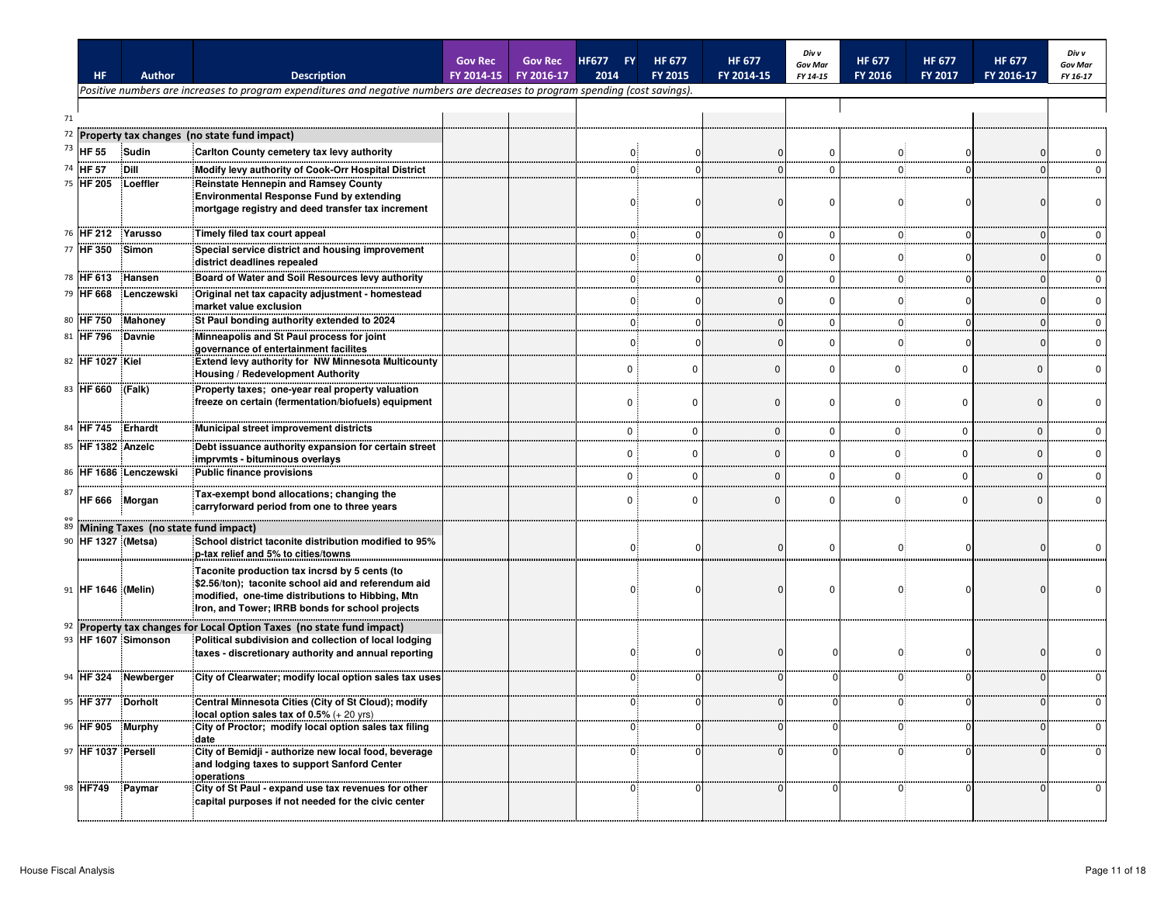|    | HF.                | <b>Author</b>                       | <b>Description</b>                                                                                                                                                                                          | <b>Gov Rec</b><br>FY 2014-15 | <b>Gov Rec</b><br>FY 2016-17 | <b>HF677</b><br>2014 | <b>FY</b>   | <b>HF 677</b><br><b>FY 2015</b> | <b>HF 677</b><br>FY 2014-15 | Div v<br><b>Gov Mar</b><br>FY 14-15 | <b>HF 677</b><br>FY 2016 | <b>HF 677</b><br><b>FY 2017</b> | <b>HF 677</b><br>FY 2016-17 | Div v<br><b>Gov Mar</b><br>FY 16-17 |
|----|--------------------|-------------------------------------|-------------------------------------------------------------------------------------------------------------------------------------------------------------------------------------------------------------|------------------------------|------------------------------|----------------------|-------------|---------------------------------|-----------------------------|-------------------------------------|--------------------------|---------------------------------|-----------------------------|-------------------------------------|
|    |                    |                                     | Positive numbers are increases to program expenditures and negative numbers are decreases to program spending (cost savings).                                                                               |                              |                              |                      |             |                                 |                             |                                     |                          |                                 |                             |                                     |
| 71 |                    |                                     |                                                                                                                                                                                                             |                              |                              |                      |             |                                 |                             |                                     |                          |                                 |                             |                                     |
| 72 |                    |                                     | Property tax changes (no state fund impact)                                                                                                                                                                 |                              |                              |                      |             |                                 |                             |                                     |                          |                                 |                             |                                     |
| 73 | <b>HF 55</b>       | Sudin                               | Carlton County cemetery tax levy authority                                                                                                                                                                  |                              |                              |                      | 0.          |                                 |                             | $\Omega$                            | 0.                       |                                 |                             |                                     |
| 74 | <b>HF 57</b>       | Dill                                | Modify levy authority of Cook-Orr Hospital District                                                                                                                                                         |                              |                              |                      | $0^{\circ}$ |                                 |                             |                                     | 0.                       |                                 |                             |                                     |
|    | 75 HF 205          | Loeffler                            | Reinstate Hennepin and Ramsey County<br><b>Environmental Response Fund by extending</b><br>mortgage registry and deed transfer tax increment                                                                |                              |                              |                      |             |                                 |                             | $\Omega$                            | 0                        |                                 |                             |                                     |
|    | 76 HF 212 Yarusso  |                                     | Timely filed tax court appeal                                                                                                                                                                               |                              |                              |                      |             |                                 |                             | $\Omega$                            | 0                        |                                 |                             |                                     |
|    | 77 HF 350          | :Simon                              | Special service district and housing improvement<br>district deadlines repealed                                                                                                                             |                              |                              |                      |             |                                 |                             |                                     |                          |                                 |                             |                                     |
|    | 78 HF 613          | Hansen                              | Board of Water and Soil Resources levy authority                                                                                                                                                            |                              |                              |                      |             |                                 |                             |                                     | <sup>0</sup>             |                                 |                             |                                     |
|    | 79 HF 668          | Lenczewski                          | Original net tax capacity adjustment - homestead<br>market value exclusion                                                                                                                                  |                              |                              |                      |             |                                 |                             |                                     |                          |                                 |                             |                                     |
|    |                    | 80 HF 750 Mahoney                   | St Paul bonding authority extended to 2024                                                                                                                                                                  |                              |                              |                      |             |                                 |                             | $\Omega$                            | $\Omega$                 |                                 |                             |                                     |
|    | 81 HF 796          | <b>Davnie</b>                       | Minneapolis and St Paul process for joint<br>governance of entertainment facilites                                                                                                                          |                              |                              |                      |             |                                 |                             | $\Omega$                            | $\Omega$                 |                                 |                             |                                     |
|    | 82 HF 1027 Kiel    |                                     | Extend levy authority for NW Minnesota Multicounty<br>Housing / Redevelopment Authority                                                                                                                     |                              |                              |                      |             |                                 |                             |                                     | 0                        | $\Omega$                        |                             |                                     |
|    | 83 HF 660 (Falk)   |                                     | Property taxes; one-year real property valuation<br>freeze on certain (fermentation/biofuels) equipment                                                                                                     |                              |                              |                      | $\Omega$    | n                               |                             | $\Omega$                            | $\Omega$                 | $\Omega$                        | $\Omega$                    |                                     |
| 84 | HF 745 Erhardt     |                                     | Municipal street improvement districts                                                                                                                                                                      |                              |                              |                      | $\mathbf 0$ | $\Omega$                        | $\Omega$                    | $\Omega$                            | 0                        | $\mathbf 0$                     | $\mathbf{0}$                |                                     |
|    | 85 HF 1382 Anzelc  |                                     | Debt issuance authority expansion for certain street<br>imprvmts - bituminous overlays                                                                                                                      |                              |                              |                      | $\Omega$    | $\Omega$                        | $\Omega$                    | $\Omega$                            | 0                        | $\Omega$                        | $\Omega$                    |                                     |
|    |                    | 86 HF 1686 Lenczewski               | Public finance provisions                                                                                                                                                                                   |                              |                              |                      | $\Omega$    | $\Omega$                        | $\Omega$                    | $\Omega$                            | $\Omega$                 | $\Omega$                        | $\Omega$                    |                                     |
| 87 | HF 666             | Morgan                              | Tax-exempt bond allocations; changing the<br>carryforward period from one to three years                                                                                                                    |                              |                              |                      | $\Omega$    | O                               |                             |                                     | 0                        | $\Omega$                        |                             |                                     |
| 89 | 90 HF 1327 (Metsa) | Mining Taxes (no state fund impact) | School district taconite distribution modified to 95%<br>p-tax relief and 5% to cities/towns                                                                                                                |                              |                              |                      |             |                                 |                             | $\Omega$                            |                          |                                 |                             |                                     |
|    | 91 HF 1646 (Melin) |                                     | Taconite production tax incrsd by 5 cents (to<br>\$2.56/ton); taconite school aid and referendum aid<br>modified, one-time distributions to Hibbing, Mtn<br>Iron. and Tower; IRRB bonds for school projects |                              |                              |                      |             |                                 |                             | $\Omega$                            |                          |                                 |                             |                                     |
| 92 |                    |                                     | Property tax changes for Local Option Taxes (no state fund impact)                                                                                                                                          |                              |                              |                      |             |                                 |                             |                                     |                          |                                 |                             |                                     |
|    |                    | 93 HF 1607 Simonson                 | Political subdivision and collection of local lodging<br>taxes - discretionary authority and annual reporting                                                                                               |                              |                              |                      |             |                                 |                             |                                     | $\Omega$                 |                                 |                             |                                     |
|    |                    | 94 HF 324 Newberger                 | City of Clearwater; modify local option sales tax uses                                                                                                                                                      |                              |                              |                      | 0.          |                                 |                             |                                     | 0.                       |                                 |                             | n                                   |
|    | 95 HF 377 Dorholt  |                                     | Central Minnesota Cities (City of St Cloud); modify<br>local option sales tax of $0.5% (+ 20 yrs)$                                                                                                          |                              |                              |                      | 0.          |                                 |                             |                                     | 0.                       |                                 |                             |                                     |
|    | 96 HF 905 Murphy   |                                     | City of Proctor; modify local option sales tax filing<br>date                                                                                                                                               |                              |                              |                      | 0.          |                                 |                             |                                     | 0.                       |                                 |                             | $\mathbf 0$                         |
|    | 97 HF 1037 Persell |                                     | and lodging taxes to support Sanford Center<br>operations                                                                                                                                                   |                              |                              |                      | 0.          |                                 |                             |                                     | 0.                       |                                 |                             | $\Omega$                            |
|    | 98 HF749           | Paymar                              | <u>:City of St Paul - expand use tax revenues for other</u><br>capital purposes if not needed for the civic center                                                                                          |                              |                              |                      | 0.          |                                 |                             |                                     | 0.                       |                                 |                             | $\mathbf 0$                         |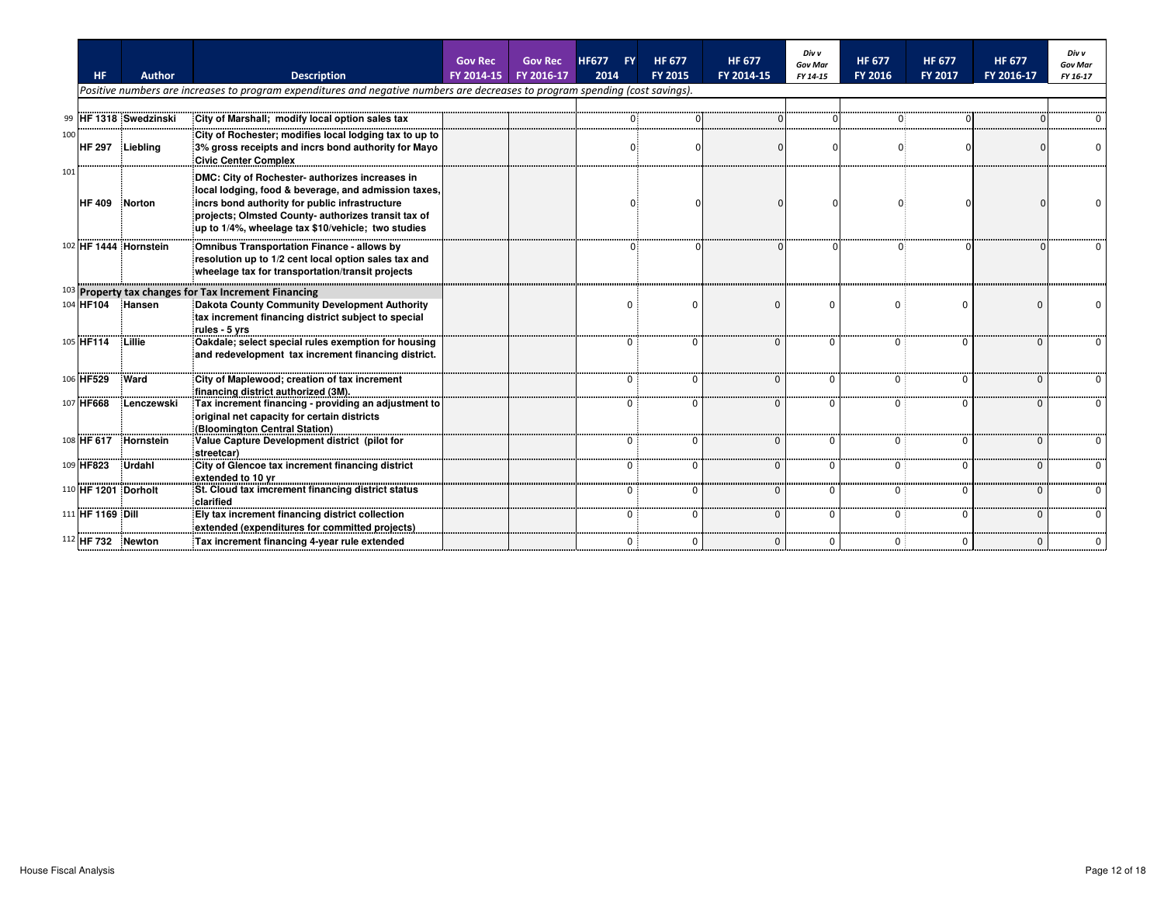|     | <b>HF</b>                    | <b>Author</b>              | <b>Description</b>                                                                                                                                                                                                                                                     | <b>Gov Rec</b><br>FY 2014-15 | <b>Gov Rec</b><br>FY 2016-17 | <b>FY</b><br><b>HF677</b><br>2014 | <b>HF 677</b><br><b>FY 2015</b> | <b>HF 677</b><br>FY 2014-15 | Div v<br><b>Gov Mar</b><br>FY 14-15 | <b>HF 677</b><br>FY 2016 | <b>HF 677</b><br><b>FY 2017</b> | <b>HF 677</b><br>FY 2016-17 | Div v<br><b>Gov Mar</b><br>FY 16-17 |
|-----|------------------------------|----------------------------|------------------------------------------------------------------------------------------------------------------------------------------------------------------------------------------------------------------------------------------------------------------------|------------------------------|------------------------------|-----------------------------------|---------------------------------|-----------------------------|-------------------------------------|--------------------------|---------------------------------|-----------------------------|-------------------------------------|
|     |                              |                            | Positive numbers are increases to program expenditures and negative numbers are decreases to program spending (cost savings).                                                                                                                                          |                              |                              |                                   |                                 |                             |                                     |                          |                                 |                             |                                     |
| 99  |                              | <b>IHF 1318 Swedzinski</b> | City of Marshall; modify local option sales tax                                                                                                                                                                                                                        |                              |                              |                                   |                                 |                             |                                     |                          |                                 |                             |                                     |
| 100 | HF 297 Liebling              |                            | City of Rochester; modifies local lodging tax to up to<br>3% gross receipts and incrs bond authority for Mayo<br><b>Civic Center Complex</b>                                                                                                                           |                              |                              |                                   |                                 |                             |                                     |                          |                                 |                             |                                     |
| 101 | HF 409 Norton                |                            | DMC: City of Rochester- authorizes increases in<br>local lodging, food & beverage, and admission taxes,<br>incrs bond authority for public infrastructure<br>projects; Olmsted County- authorizes transit tax of<br>up to 1/4%, wheelage tax \$10/vehicle; two studies |                              |                              |                                   |                                 |                             |                                     |                          |                                 |                             |                                     |
|     |                              | 102 HF 1444 Hornstein      | Omnibus Transportation Finance - allows by<br>resolution up to 1/2 cent local option sales tax and<br>wheelage tax for transportation/transit projects                                                                                                                 |                              |                              |                                   |                                 |                             |                                     |                          |                                 |                             |                                     |
|     |                              |                            | $103$ Property tax changes for Tax Increment Financing                                                                                                                                                                                                                 |                              |                              |                                   |                                 |                             |                                     |                          |                                 |                             |                                     |
|     | 104 HF104 Hansen             |                            | Dakota County Community Development Authority<br>tax increment financing district subject to special<br>rules - 5 yrs                                                                                                                                                  |                              |                              |                                   |                                 | $\Omega$                    |                                     |                          | $\Omega$                        |                             |                                     |
|     | 105 HF114                    | Lillie                     | Oakdale; select special rules exemption for housing<br>and redevelopment tax increment financing district.                                                                                                                                                             |                              |                              |                                   |                                 | n                           |                                     |                          |                                 |                             |                                     |
|     | 106 HF529                    | Ward                       | City of Maplewood; creation of tax increment<br>financing district authorized (3M).                                                                                                                                                                                    |                              |                              |                                   |                                 |                             |                                     |                          |                                 |                             |                                     |
|     | 107 HF668                    | Lenczewski                 | Tax increment financing - providing an adjustment to<br>original net capacity for certain districts<br>(Bloomington Central Station)                                                                                                                                   |                              |                              |                                   |                                 |                             |                                     |                          |                                 |                             |                                     |
|     |                              | 108 HF 617 Hornstein       | Value Capture Development district (pilot for<br>streetcar)                                                                                                                                                                                                            |                              |                              |                                   |                                 |                             |                                     |                          |                                 |                             |                                     |
|     | 109 HF823                    | Urdahl                     | City of Glencoe tax increment financing district<br>extended to 10 yr                                                                                                                                                                                                  |                              |                              |                                   |                                 |                             |                                     | $\Omega$                 | $\Omega$                        |                             |                                     |
|     | 110 HF 1201 Dorholt          |                            | St. Cloud tax imcrement financing district status<br><b>clarified</b>                                                                                                                                                                                                  |                              |                              |                                   |                                 |                             |                                     |                          | $\Omega$                        |                             |                                     |
|     | 111 HF 1169 Dill             |                            | Ely tax increment financing district collection<br>extended (expenditures for committed projects)                                                                                                                                                                      |                              |                              | n.                                |                                 | n                           |                                     | 0 :                      |                                 |                             |                                     |
|     | <sup>112</sup> HF 732 Newton |                            | Tax increment financing 4-year rule extended                                                                                                                                                                                                                           |                              |                              |                                   |                                 |                             |                                     | $\overline{0}$ :         |                                 |                             |                                     |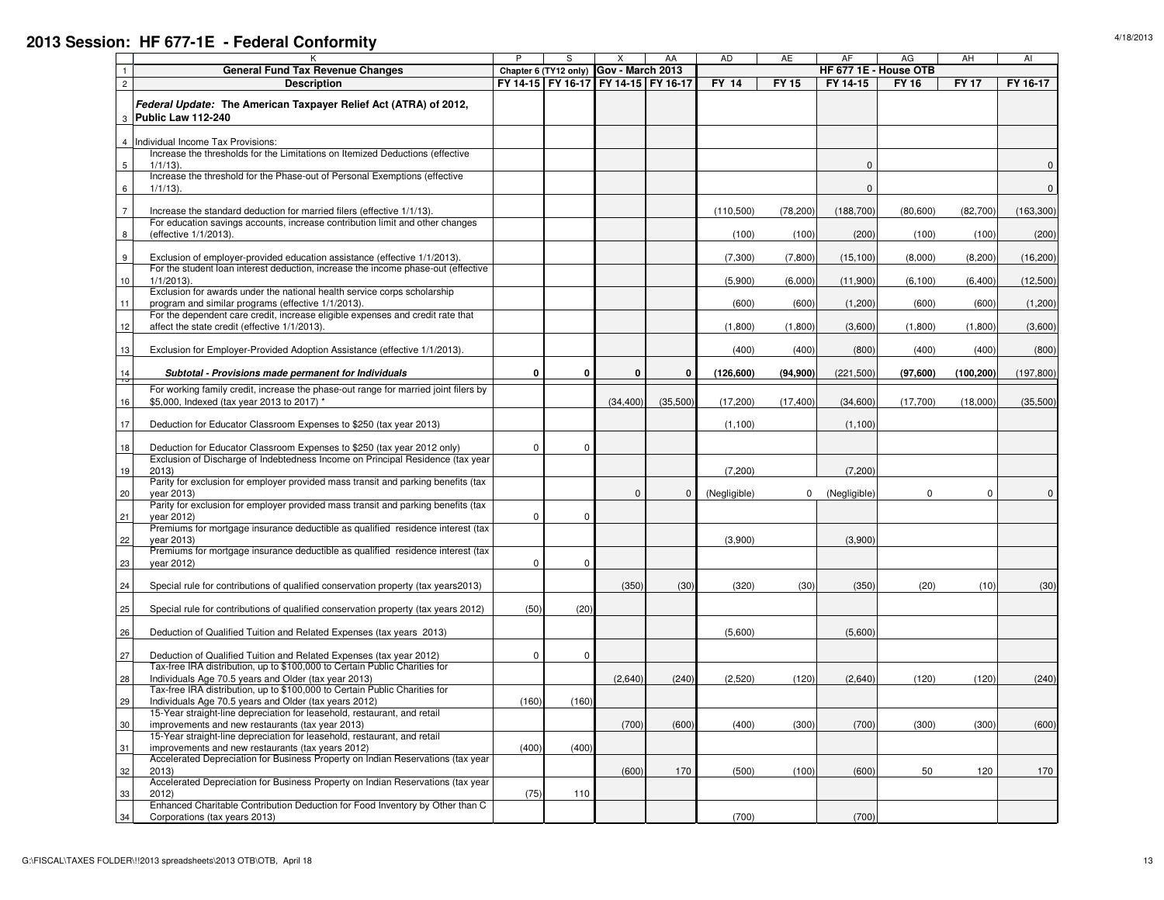| 6<br>$1/1/13$ ).<br>$\mathbf{0}$<br>$\overline{7}$<br>Increase the standard deduction for married filers (effective 1/1/13).<br>(110,500)<br>(78, 200)<br>(188,700)<br>(80, 600)<br>For education savings accounts, increase contribution limit and other changes<br>8<br>(effective 1/1/2013).<br>(100)<br>(100)<br>(200)<br>(100)<br>9<br>Exclusion of employer-provided education assistance (effective 1/1/2013).<br>(7,300)<br>(15, 100)<br>(8,000)<br>(7,800)<br>For the student loan interest deduction, increase the income phase-out (effective<br>$10$<br>$1/1/2013$ ).<br>(5,900)<br>(6, 100)<br>(6,000)<br>(11,900)<br>Exclusion for awards under the national health service corps scholarship<br>11<br>program and similar programs (effective 1/1/2013).<br>(600)<br>(600)<br>(600)<br>(1,200)<br>For the dependent care credit, increase eligible expenses and credit rate that<br>12<br>affect the state credit (effective 1/1/2013).<br>(1,800)<br>(3,600)<br>(1,800)<br>(1,800)<br>13<br>Exclusion for Employer-Provided Adoption Assistance (effective 1/1/2013).<br>(400)<br>(400)<br>(800)<br>(400)<br>14<br>$\mathbf{0}$<br>$\mathbf{0}$<br>$\mathbf{0}$<br>Subtotal - Provisions made permanent for Individuals<br>0<br>(126, 600)<br>(94,900)<br>(221, 500)<br>(97,600)<br>F<br>For working family credit, increase the phase-out range for married joint filers by<br>\$5,000, Indexed (tax year 2013 to 2017) *<br>16<br>(34, 400)<br>(35,500)<br>(17,200)<br>(17, 400)<br>(34,600)<br>(17,700)<br>17<br>Deduction for Educator Classroom Expenses to \$250 (tax year 2013)<br>(1,100)<br>(1,100)<br>18<br>$\mathbf 0$<br>Deduction for Educator Classroom Expenses to \$250 (tax year 2012 only)<br>0 | $\mathsf 0$<br>(82,700)<br>(163, 300)<br>(100)<br>(200)<br>(8, 200)<br>(16, 200)<br>(12,500)<br>(6,400)<br>(1,200)<br>(600)<br>(3,600)<br>(1,800)<br>(400)<br>(800)<br>(100, 200)<br>(197, 800)<br>(35,500)<br>(18,000) |
|-----------------------------------------------------------------------------------------------------------------------------------------------------------------------------------------------------------------------------------------------------------------------------------------------------------------------------------------------------------------------------------------------------------------------------------------------------------------------------------------------------------------------------------------------------------------------------------------------------------------------------------------------------------------------------------------------------------------------------------------------------------------------------------------------------------------------------------------------------------------------------------------------------------------------------------------------------------------------------------------------------------------------------------------------------------------------------------------------------------------------------------------------------------------------------------------------------------------------------------------------------------------------------------------------------------------------------------------------------------------------------------------------------------------------------------------------------------------------------------------------------------------------------------------------------------------------------------------------------------------------------------------------------------------------------------------------------------------------------------|-------------------------------------------------------------------------------------------------------------------------------------------------------------------------------------------------------------------------|
|                                                                                                                                                                                                                                                                                                                                                                                                                                                                                                                                                                                                                                                                                                                                                                                                                                                                                                                                                                                                                                                                                                                                                                                                                                                                                                                                                                                                                                                                                                                                                                                                                                                                                                                                   |                                                                                                                                                                                                                         |
|                                                                                                                                                                                                                                                                                                                                                                                                                                                                                                                                                                                                                                                                                                                                                                                                                                                                                                                                                                                                                                                                                                                                                                                                                                                                                                                                                                                                                                                                                                                                                                                                                                                                                                                                   |                                                                                                                                                                                                                         |
|                                                                                                                                                                                                                                                                                                                                                                                                                                                                                                                                                                                                                                                                                                                                                                                                                                                                                                                                                                                                                                                                                                                                                                                                                                                                                                                                                                                                                                                                                                                                                                                                                                                                                                                                   |                                                                                                                                                                                                                         |
|                                                                                                                                                                                                                                                                                                                                                                                                                                                                                                                                                                                                                                                                                                                                                                                                                                                                                                                                                                                                                                                                                                                                                                                                                                                                                                                                                                                                                                                                                                                                                                                                                                                                                                                                   |                                                                                                                                                                                                                         |
|                                                                                                                                                                                                                                                                                                                                                                                                                                                                                                                                                                                                                                                                                                                                                                                                                                                                                                                                                                                                                                                                                                                                                                                                                                                                                                                                                                                                                                                                                                                                                                                                                                                                                                                                   |                                                                                                                                                                                                                         |
|                                                                                                                                                                                                                                                                                                                                                                                                                                                                                                                                                                                                                                                                                                                                                                                                                                                                                                                                                                                                                                                                                                                                                                                                                                                                                                                                                                                                                                                                                                                                                                                                                                                                                                                                   |                                                                                                                                                                                                                         |
|                                                                                                                                                                                                                                                                                                                                                                                                                                                                                                                                                                                                                                                                                                                                                                                                                                                                                                                                                                                                                                                                                                                                                                                                                                                                                                                                                                                                                                                                                                                                                                                                                                                                                                                                   |                                                                                                                                                                                                                         |
|                                                                                                                                                                                                                                                                                                                                                                                                                                                                                                                                                                                                                                                                                                                                                                                                                                                                                                                                                                                                                                                                                                                                                                                                                                                                                                                                                                                                                                                                                                                                                                                                                                                                                                                                   |                                                                                                                                                                                                                         |
|                                                                                                                                                                                                                                                                                                                                                                                                                                                                                                                                                                                                                                                                                                                                                                                                                                                                                                                                                                                                                                                                                                                                                                                                                                                                                                                                                                                                                                                                                                                                                                                                                                                                                                                                   |                                                                                                                                                                                                                         |
|                                                                                                                                                                                                                                                                                                                                                                                                                                                                                                                                                                                                                                                                                                                                                                                                                                                                                                                                                                                                                                                                                                                                                                                                                                                                                                                                                                                                                                                                                                                                                                                                                                                                                                                                   |                                                                                                                                                                                                                         |
|                                                                                                                                                                                                                                                                                                                                                                                                                                                                                                                                                                                                                                                                                                                                                                                                                                                                                                                                                                                                                                                                                                                                                                                                                                                                                                                                                                                                                                                                                                                                                                                                                                                                                                                                   |                                                                                                                                                                                                                         |
|                                                                                                                                                                                                                                                                                                                                                                                                                                                                                                                                                                                                                                                                                                                                                                                                                                                                                                                                                                                                                                                                                                                                                                                                                                                                                                                                                                                                                                                                                                                                                                                                                                                                                                                                   |                                                                                                                                                                                                                         |
|                                                                                                                                                                                                                                                                                                                                                                                                                                                                                                                                                                                                                                                                                                                                                                                                                                                                                                                                                                                                                                                                                                                                                                                                                                                                                                                                                                                                                                                                                                                                                                                                                                                                                                                                   |                                                                                                                                                                                                                         |
|                                                                                                                                                                                                                                                                                                                                                                                                                                                                                                                                                                                                                                                                                                                                                                                                                                                                                                                                                                                                                                                                                                                                                                                                                                                                                                                                                                                                                                                                                                                                                                                                                                                                                                                                   |                                                                                                                                                                                                                         |
|                                                                                                                                                                                                                                                                                                                                                                                                                                                                                                                                                                                                                                                                                                                                                                                                                                                                                                                                                                                                                                                                                                                                                                                                                                                                                                                                                                                                                                                                                                                                                                                                                                                                                                                                   |                                                                                                                                                                                                                         |
|                                                                                                                                                                                                                                                                                                                                                                                                                                                                                                                                                                                                                                                                                                                                                                                                                                                                                                                                                                                                                                                                                                                                                                                                                                                                                                                                                                                                                                                                                                                                                                                                                                                                                                                                   |                                                                                                                                                                                                                         |
| Exclusion of Discharge of Indebtedness Income on Principal Residence (tax year<br>19<br>2013<br>(7, 200)<br>(7, 200)                                                                                                                                                                                                                                                                                                                                                                                                                                                                                                                                                                                                                                                                                                                                                                                                                                                                                                                                                                                                                                                                                                                                                                                                                                                                                                                                                                                                                                                                                                                                                                                                              |                                                                                                                                                                                                                         |
| Parity for exclusion for employer provided mass transit and parking benefits (tax<br>20<br>vear 2013)<br>$\Omega$<br>$\Omega$<br>(Negligible)<br>(Negligible)<br>$\Omega$<br>0                                                                                                                                                                                                                                                                                                                                                                                                                                                                                                                                                                                                                                                                                                                                                                                                                                                                                                                                                                                                                                                                                                                                                                                                                                                                                                                                                                                                                                                                                                                                                    | $\Omega$<br>$\mathbf{0}$                                                                                                                                                                                                |
| Parity for exclusion for employer provided mass transit and parking benefits (tax                                                                                                                                                                                                                                                                                                                                                                                                                                                                                                                                                                                                                                                                                                                                                                                                                                                                                                                                                                                                                                                                                                                                                                                                                                                                                                                                                                                                                                                                                                                                                                                                                                                 |                                                                                                                                                                                                                         |
| 21<br>$\mathbf 0$<br>vear 2012)<br>0                                                                                                                                                                                                                                                                                                                                                                                                                                                                                                                                                                                                                                                                                                                                                                                                                                                                                                                                                                                                                                                                                                                                                                                                                                                                                                                                                                                                                                                                                                                                                                                                                                                                                              |                                                                                                                                                                                                                         |
| Premiums for mortgage insurance deductible as qualified residence interest (tax                                                                                                                                                                                                                                                                                                                                                                                                                                                                                                                                                                                                                                                                                                                                                                                                                                                                                                                                                                                                                                                                                                                                                                                                                                                                                                                                                                                                                                                                                                                                                                                                                                                   |                                                                                                                                                                                                                         |
| 22<br>(3,900)<br>(3,900)<br>vear 2013)<br>Premiums for mortgage insurance deductible as qualified residence interest (tax                                                                                                                                                                                                                                                                                                                                                                                                                                                                                                                                                                                                                                                                                                                                                                                                                                                                                                                                                                                                                                                                                                                                                                                                                                                                                                                                                                                                                                                                                                                                                                                                         |                                                                                                                                                                                                                         |
| 23<br>$\mathbf 0$<br>vear 2012)<br>0                                                                                                                                                                                                                                                                                                                                                                                                                                                                                                                                                                                                                                                                                                                                                                                                                                                                                                                                                                                                                                                                                                                                                                                                                                                                                                                                                                                                                                                                                                                                                                                                                                                                                              |                                                                                                                                                                                                                         |
|                                                                                                                                                                                                                                                                                                                                                                                                                                                                                                                                                                                                                                                                                                                                                                                                                                                                                                                                                                                                                                                                                                                                                                                                                                                                                                                                                                                                                                                                                                                                                                                                                                                                                                                                   |                                                                                                                                                                                                                         |
| 24<br>(350)<br>(30)<br>(320)<br>(20)<br>Special rule for contributions of qualified conservation property (tax years2013)<br>(30)<br>(350)                                                                                                                                                                                                                                                                                                                                                                                                                                                                                                                                                                                                                                                                                                                                                                                                                                                                                                                                                                                                                                                                                                                                                                                                                                                                                                                                                                                                                                                                                                                                                                                        | (10)<br>(30)                                                                                                                                                                                                            |
| 25<br>Special rule for contributions of qualified conservation property (tax years 2012)<br>(50)<br>(20)                                                                                                                                                                                                                                                                                                                                                                                                                                                                                                                                                                                                                                                                                                                                                                                                                                                                                                                                                                                                                                                                                                                                                                                                                                                                                                                                                                                                                                                                                                                                                                                                                          |                                                                                                                                                                                                                         |
|                                                                                                                                                                                                                                                                                                                                                                                                                                                                                                                                                                                                                                                                                                                                                                                                                                                                                                                                                                                                                                                                                                                                                                                                                                                                                                                                                                                                                                                                                                                                                                                                                                                                                                                                   |                                                                                                                                                                                                                         |
| 26<br>Deduction of Qualified Tuition and Related Expenses (tax years 2013)<br>(5,600)<br>(5,600)                                                                                                                                                                                                                                                                                                                                                                                                                                                                                                                                                                                                                                                                                                                                                                                                                                                                                                                                                                                                                                                                                                                                                                                                                                                                                                                                                                                                                                                                                                                                                                                                                                  |                                                                                                                                                                                                                         |
| 27<br>$\mathbf 0$<br>Deduction of Qualified Tuition and Related Expenses (tax year 2012)<br>$\mathbf 0$                                                                                                                                                                                                                                                                                                                                                                                                                                                                                                                                                                                                                                                                                                                                                                                                                                                                                                                                                                                                                                                                                                                                                                                                                                                                                                                                                                                                                                                                                                                                                                                                                           |                                                                                                                                                                                                                         |
| Tax-free IRA distribution, up to \$100,000 to Certain Public Charities for                                                                                                                                                                                                                                                                                                                                                                                                                                                                                                                                                                                                                                                                                                                                                                                                                                                                                                                                                                                                                                                                                                                                                                                                                                                                                                                                                                                                                                                                                                                                                                                                                                                        |                                                                                                                                                                                                                         |
| Individuals Age 70.5 years and Older (tax year 2013)<br>28<br>(2,640)<br>(240)<br>(2,520)<br>(120)<br>(2,640)<br>(120)                                                                                                                                                                                                                                                                                                                                                                                                                                                                                                                                                                                                                                                                                                                                                                                                                                                                                                                                                                                                                                                                                                                                                                                                                                                                                                                                                                                                                                                                                                                                                                                                            | (120)<br>(240)                                                                                                                                                                                                          |
| Tax-free IRA distribution, up to \$100,000 to Certain Public Charities for                                                                                                                                                                                                                                                                                                                                                                                                                                                                                                                                                                                                                                                                                                                                                                                                                                                                                                                                                                                                                                                                                                                                                                                                                                                                                                                                                                                                                                                                                                                                                                                                                                                        |                                                                                                                                                                                                                         |
| 29<br>Individuals Age 70.5 years and Older (tax years 2012)<br>(160)<br>(160)<br>15-Year straight-line depreciation for leasehold, restaurant, and retail                                                                                                                                                                                                                                                                                                                                                                                                                                                                                                                                                                                                                                                                                                                                                                                                                                                                                                                                                                                                                                                                                                                                                                                                                                                                                                                                                                                                                                                                                                                                                                         |                                                                                                                                                                                                                         |
| improvements and new restaurants (tax year 2013)<br>(700)<br>(400)<br>(700)<br>30<br>(600)<br>(300)<br>(300)                                                                                                                                                                                                                                                                                                                                                                                                                                                                                                                                                                                                                                                                                                                                                                                                                                                                                                                                                                                                                                                                                                                                                                                                                                                                                                                                                                                                                                                                                                                                                                                                                      | (300)<br>(600)                                                                                                                                                                                                          |
| 15-Year straight-line depreciation for leasehold, restaurant, and retail                                                                                                                                                                                                                                                                                                                                                                                                                                                                                                                                                                                                                                                                                                                                                                                                                                                                                                                                                                                                                                                                                                                                                                                                                                                                                                                                                                                                                                                                                                                                                                                                                                                          |                                                                                                                                                                                                                         |
| 31<br>improvements and new restaurants (tax years 2012)<br>(400)<br>(400)                                                                                                                                                                                                                                                                                                                                                                                                                                                                                                                                                                                                                                                                                                                                                                                                                                                                                                                                                                                                                                                                                                                                                                                                                                                                                                                                                                                                                                                                                                                                                                                                                                                         |                                                                                                                                                                                                                         |
| Accelerated Depreciation for Business Property on Indian Reservations (tax year                                                                                                                                                                                                                                                                                                                                                                                                                                                                                                                                                                                                                                                                                                                                                                                                                                                                                                                                                                                                                                                                                                                                                                                                                                                                                                                                                                                                                                                                                                                                                                                                                                                   |                                                                                                                                                                                                                         |
| 32<br>170<br>2013<br>(600)<br>(500)<br>(100)<br>(600)<br>50                                                                                                                                                                                                                                                                                                                                                                                                                                                                                                                                                                                                                                                                                                                                                                                                                                                                                                                                                                                                                                                                                                                                                                                                                                                                                                                                                                                                                                                                                                                                                                                                                                                                       | 120<br>170                                                                                                                                                                                                              |
| Accelerated Depreciation for Business Property on Indian Reservations (tax year<br>33<br>2012)<br>(75)<br>110                                                                                                                                                                                                                                                                                                                                                                                                                                                                                                                                                                                                                                                                                                                                                                                                                                                                                                                                                                                                                                                                                                                                                                                                                                                                                                                                                                                                                                                                                                                                                                                                                     |                                                                                                                                                                                                                         |
| Enhanced Charitable Contribution Deduction for Food Inventory by Other than C                                                                                                                                                                                                                                                                                                                                                                                                                                                                                                                                                                                                                                                                                                                                                                                                                                                                                                                                                                                                                                                                                                                                                                                                                                                                                                                                                                                                                                                                                                                                                                                                                                                     |                                                                                                                                                                                                                         |
| 34<br>Corporations (tax years 2013)<br>(700)<br>(700)                                                                                                                                                                                                                                                                                                                                                                                                                                                                                                                                                                                                                                                                                                                                                                                                                                                                                                                                                                                                                                                                                                                                                                                                                                                                                                                                                                                                                                                                                                                                                                                                                                                                             |                                                                                                                                                                                                                         |

1/1/13). 0

<sup>P</sup> <sup>S</sup> <sup>X</sup> AA AD AE AF AG AH AI

**FY 14-15 FY 16-17 FY 14-15 FY 16-17 FY 14 FY 15 FY 14-15 FY 16 FY 17 FY 16-17**

**HF 677 1E - House OTB**<br>**FY 14** | **FY** 15 | **FY** 14-15 | **FY** 16

**Gov - March 2013**

#### **2013 Session: HF 677-1E - Federal Conformity**

K

**General Fund Tax Revenue Changes Chapter 6 (TY12 only)** 

**DescriptionFederal Update: The American Taxpayer Relief Act (ATRA) of 2012,** 

Increase the thresholds for the Limitations on Itemized Deductions (effective

4 IIndividual Income Tax Provisions:

3**Public Law 112-240**

12

5

 $\overline{0}$  0

 $FY16$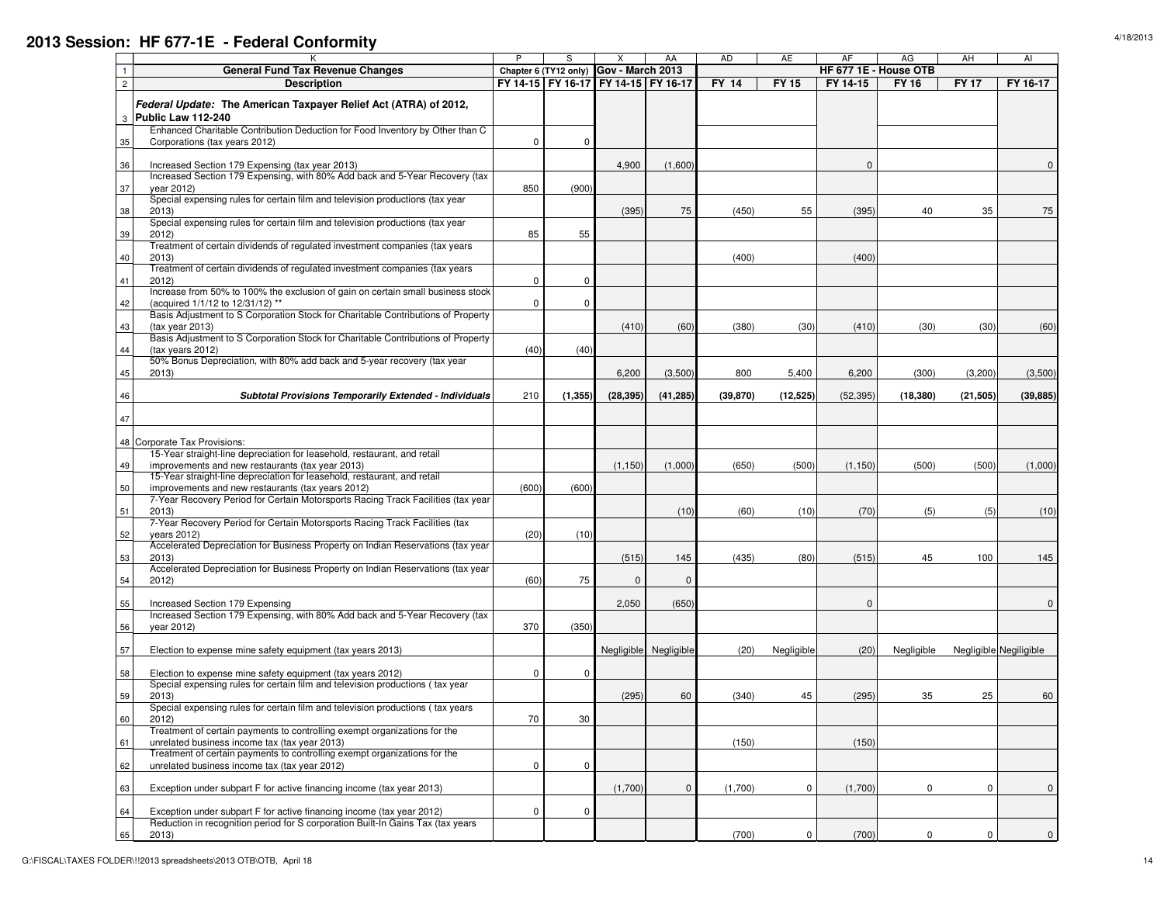## **2013 Session: HF 677-1E - Federal Conformity**

|                                                                                                                                             | P           | S           | Х                                      | AA                    | AD           | AE          | AF        | AG                    | AH          | AI                     |
|---------------------------------------------------------------------------------------------------------------------------------------------|-------------|-------------|----------------------------------------|-----------------------|--------------|-------------|-----------|-----------------------|-------------|------------------------|
| <b>General Fund Tax Revenue Changes</b>                                                                                                     |             |             | Chapter 6 (TY12 only) Gov - March 2013 |                       |              |             |           | HF 677 1E - House OTB |             |                        |
| <b>Description</b>                                                                                                                          |             |             | FY 14-15 FY 16-17 FY 14-15 FY 16-17    |                       | <b>FY 14</b> | <b>FY15</b> | FY 14-15  | <b>FY 16</b>          | <b>FY17</b> | FY 16-17               |
| Federal Update: The American Taxpayer Relief Act (ATRA) of 2012,<br>3 Public Law 112-240                                                    |             |             |                                        |                       |              |             |           |                       |             |                        |
| Enhanced Charitable Contribution Deduction for Food Inventory by Other than C                                                               |             |             |                                        |                       |              |             |           |                       |             |                        |
| Corporations (tax years 2012)                                                                                                               | $\mathbf 0$ | $\mathbf 0$ |                                        |                       |              |             |           |                       |             |                        |
|                                                                                                                                             |             |             |                                        |                       |              |             |           |                       |             |                        |
| Increased Section 179 Expensing (tax year 2013)<br>36<br>Increased Section 179 Expensing, with 80% Add back and 5-Year Recovery (tax        |             |             | 4,900                                  | (1,600)               |              |             | $\Omega$  |                       |             | $\Omega$               |
| vear 2012)                                                                                                                                  | 850         | (900)       |                                        |                       |              |             |           |                       |             |                        |
| Special expensing rules for certain film and television productions (tax year                                                               |             |             |                                        |                       |              |             |           |                       |             |                        |
| 38<br>2013                                                                                                                                  |             |             | (395)                                  | 75                    | (450)        | 55          | (395)     | 40                    | 35          | 75                     |
| Special expensing rules for certain film and television productions (tax year<br>2012                                                       | 85          | 55          |                                        |                       |              |             |           |                       |             |                        |
| Treatment of certain dividends of regulated investment companies (tax years                                                                 |             |             |                                        |                       |              |             |           |                       |             |                        |
| 40<br>2013)<br>Treatment of certain dividends of regulated investment companies (tax years                                                  |             |             |                                        |                       | (400)        |             | (400)     |                       |             |                        |
| 2012)                                                                                                                                       | $\mathbf 0$ | $\mathbf 0$ |                                        |                       |              |             |           |                       |             |                        |
| Increase from 50% to 100% the exclusion of gain on certain small business stock<br>(acquired 1/1/12 to 12/31/12) **                         | $\mathbf 0$ | $\mathbf 0$ |                                        |                       |              |             |           |                       |             |                        |
| Basis Adjustment to S Corporation Stock for Charitable Contributions of Property                                                            |             |             |                                        |                       |              |             |           |                       |             |                        |
| 43<br>(tax year 2013)<br>Basis Adjustment to S Corporation Stock for Charitable Contributions of Property                                   |             |             | (410)                                  | (60)                  | (380)        | (30)        | (410)     | (30)                  | (30)        | (60)                   |
| (tax years 2012)                                                                                                                            | (40)        | (40)        |                                        |                       |              |             |           |                       |             |                        |
| 50% Bonus Depreciation, with 80% add back and 5-year recovery (tax year                                                                     |             |             |                                        |                       |              |             |           |                       |             |                        |
| 2013)                                                                                                                                       |             |             | 6,200                                  | (3,500)               | 800          | 5,400       | 6,200     | (300)                 | (3,200)     | (3,500)                |
| <b>Subtotal Provisions Temporarily Extended - Individuals</b>                                                                               | 210         | (1, 355)    | (28, 395)                              | (41, 285)             | (39, 870)    | (12, 525)   | (52, 395) | (18, 380)             | (21, 505)   | (39, 885)              |
|                                                                                                                                             |             |             |                                        |                       |              |             |           |                       |             |                        |
|                                                                                                                                             |             |             |                                        |                       |              |             |           |                       |             |                        |
| 48 Corporate Tax Provisions:                                                                                                                |             |             |                                        |                       |              |             |           |                       |             |                        |
| 15-Year straight-line depreciation for leasehold, restaurant, and retail                                                                    |             |             |                                        |                       |              |             |           |                       |             |                        |
| improvements and new restaurants (tax year 2013)                                                                                            |             |             | (1, 150)                               | (1,000)               | (650)        | (500)       | (1, 150)  | (500)                 | (500)       | (1,000)                |
| 15-Year straight-line depreciation for leasehold, restaurant, and retail                                                                    |             |             |                                        |                       |              |             |           |                       |             |                        |
| improvements and new restaurants (tax years 2012)<br>7-Year Recovery Period for Certain Motorsports Racing Track Facilities (tax year       | (600)       | (600)       |                                        |                       |              |             |           |                       |             |                        |
| 51<br>2013)                                                                                                                                 |             |             |                                        | (10)                  | (60)         | (10)        | (70)      | (5)                   | (5)         | (10)                   |
| 7-Year Recovery Period for Certain Motorsports Racing Track Facilities (tax                                                                 |             |             |                                        |                       |              |             |           |                       |             |                        |
| years 2012)                                                                                                                                 | (20)        | (10)        |                                        |                       |              |             |           |                       |             |                        |
| Accelerated Depreciation for Business Property on Indian Reservations (tax year                                                             |             |             |                                        |                       |              |             |           |                       |             |                        |
| 2013)<br>Accelerated Depreciation for Business Property on Indian Reservations (tax year                                                    |             |             | (515)                                  | 145                   | (435)        | (80)        | (515)     | 45                    | 100         | 145                    |
| 2012)                                                                                                                                       | (60)        | 75          | $\mathbf{0}$                           | $\mathbf{0}$          |              |             |           |                       |             |                        |
|                                                                                                                                             |             |             |                                        |                       |              |             |           |                       |             |                        |
| Increased Section 179 Expensing<br>Increased Section 179 Expensing, with 80% Add back and 5-Year Recovery (tax                              |             |             | 2,050                                  | (650)                 |              |             | $\Omega$  |                       |             | $\Omega$               |
| year 2012)                                                                                                                                  | 370         | (350)       |                                        |                       |              |             |           |                       |             |                        |
|                                                                                                                                             |             |             |                                        |                       |              |             |           |                       |             |                        |
| Election to expense mine safety equipment (tax years 2013)                                                                                  |             |             |                                        | Negligible Negligible | (20)         | Negligible  | (20)      | Negligible            |             | Negligible Negiligible |
|                                                                                                                                             | $\mathbf 0$ | 0           |                                        |                       |              |             |           |                       |             |                        |
| Election to expense mine safety equipment (tax years 2012)<br>Special expensing rules for certain film and television productions (tax year |             |             |                                        |                       |              |             |           |                       |             |                        |
| 2013)                                                                                                                                       |             |             | (295)                                  | 60                    | (340)        | 45          | (295)     | 35                    | 25          | 60                     |
| Special expensing rules for certain film and television productions (tax years)                                                             |             |             |                                        |                       |              |             |           |                       |             |                        |
| 2012                                                                                                                                        | 70          | 30          |                                        |                       |              |             |           |                       |             |                        |
| Treatment of certain payments to controlling exempt organizations for the<br>unrelated business income tax (tax year 2013)                  |             |             |                                        |                       | (150)        |             | (150)     |                       |             |                        |
| Treatment of certain payments to controlling exempt organizations for the                                                                   |             |             |                                        |                       |              |             |           |                       |             |                        |
| unrelated business income tax (tax year 2012)                                                                                               | $\mathbf 0$ | $\mathbf 0$ |                                        |                       |              |             |           |                       |             |                        |
|                                                                                                                                             |             |             |                                        |                       |              |             |           |                       |             |                        |
| Exception under subpart F for active financing income (tax year 2013)                                                                       |             |             | (1,700)                                | $\mathbf{0}$          | (1,700)      | $\mathbf 0$ | (1,700)   | 0                     | $\mathbf 0$ | $\Omega$               |
| Exception under subpart F for active financing income (tax year 2012)                                                                       | $\Omega$    | $\Omega$    |                                        |                       |              |             |           |                       |             |                        |
| Reduction in recognition period for S corporation Built-In Gains Tax (tax years                                                             |             |             |                                        |                       |              |             |           |                       |             |                        |
| 65<br>2013)                                                                                                                                 |             |             |                                        |                       | (700)        | $\pmb{0}$   | (700)     | $\mathbf 0$           | $\mathbf 0$ | $\mathbf 0$            |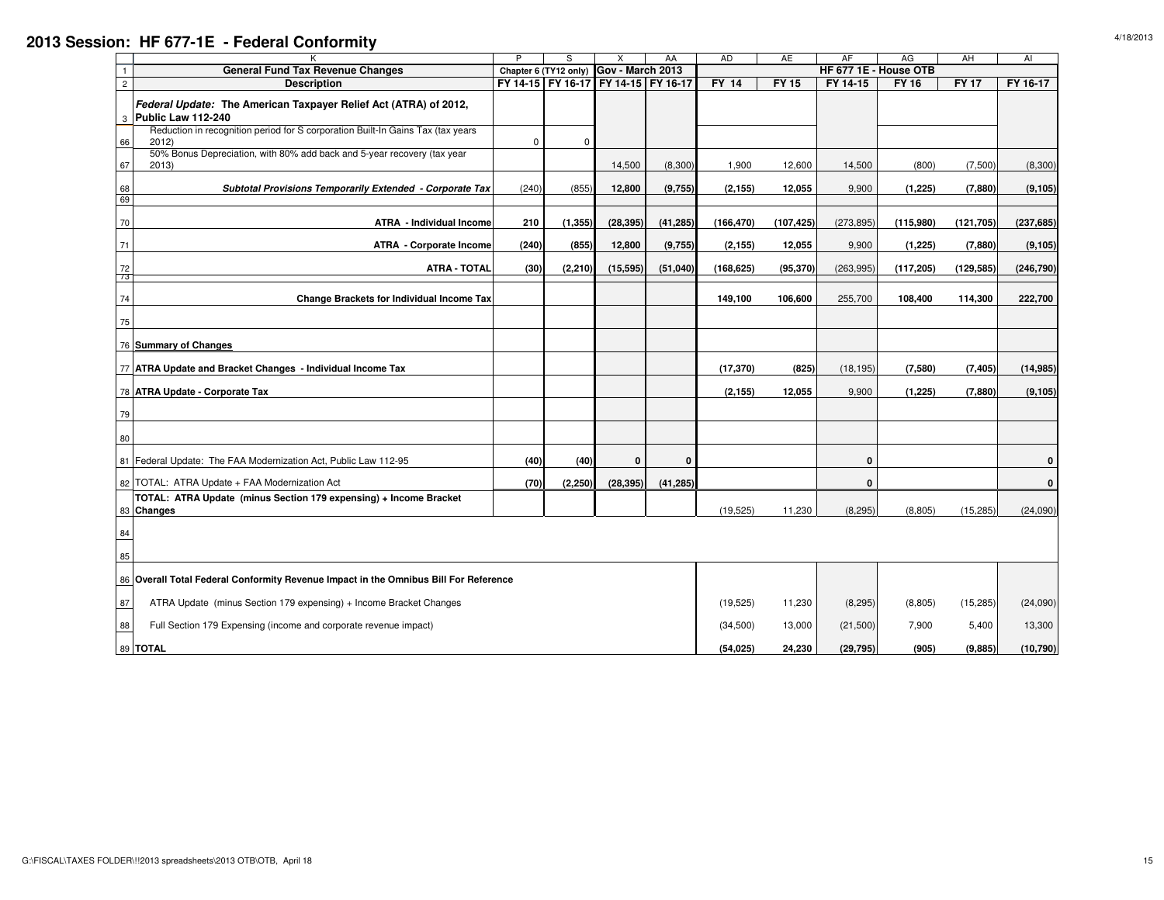|                |                                                                                              | P<br>S<br>AA<br>Chapter 6 (TY12 only) Gov - March 2013 |          |                                     | AD          | AE                    | AF              | AG                    | AH                  | AI                  |                       |
|----------------|----------------------------------------------------------------------------------------------|--------------------------------------------------------|----------|-------------------------------------|-------------|-----------------------|-----------------|-----------------------|---------------------|---------------------|-----------------------|
|                | <b>General Fund Tax Revenue Changes</b>                                                      |                                                        |          |                                     |             |                       |                 | HF 677 1E - House OTB |                     |                     |                       |
| $\overline{2}$ | <b>Description</b>                                                                           |                                                        |          | FY 14-15 FY 16-17 FY 14-15 FY 16-17 |             | <b>FY 14</b>          | $FY$ 15         | FY 14-15              | <b>FY 16</b>        | <b>FY17</b>         | FY 16-17              |
|                | Federal Update: The American Taxpayer Relief Act (ATRA) of 2012,<br>3 Public Law 112-240     |                                                        |          |                                     |             |                       |                 |                       |                     |                     |                       |
| 66             | Reduction in recognition period for S corporation Built-In Gains Tax (tax years)<br>2012)    | $\Omega$                                               | $\Omega$ |                                     |             |                       |                 |                       |                     |                     |                       |
| 67             | 50% Bonus Depreciation, with 80% add back and 5-year recovery (tax year<br>2013)             |                                                        |          | 14,500                              | (8,300)     | 1,900                 | 12,600          | 14,500                | (800)               | (7,500)             | (8,300)               |
| 68<br>69       | Subtotal Provisions Temporarily Extended - Corporate Tax                                     | (240)                                                  | (855)    | 12,800                              | (9,755)     | (2, 155)              | 12,055          | 9,900                 | (1, 225)            | (7,880)             | (9, 105)              |
| 70             | <b>ATRA - Individual Income</b>                                                              | 210                                                    | (1, 355) | (28, 395)                           | (41, 285)   | (166, 470)            | (107, 425)      | (273, 895)            | (115,980)           | (121, 705)          | (237, 685)            |
| 71             | <b>ATRA - Corporate Income</b>                                                               | (240)                                                  | (855)    | 12,800                              | (9,755)     | (2, 155)              | 12,055          | 9,900                 | (1, 225)            | (7,880)             | (9, 105)              |
| 72<br>73       | <b>ATRA - TOTAL</b>                                                                          | (30)                                                   | (2, 210) | (15, 595)                           | (51,040)    | (168, 625)            | (95, 370)       | (263, 995)            | (117, 205)          | (129, 585)          | (246, 790)            |
| 74             | Change Brackets for Individual Income Tax                                                    |                                                        |          |                                     |             | 149,100               | 106,600         | 255,700               | 108,400             | 114,300             | 222,700               |
| 75             |                                                                                              |                                                        |          |                                     |             |                       |                 |                       |                     |                     |                       |
|                | 76 Summary of Changes                                                                        |                                                        |          |                                     |             |                       |                 |                       |                     |                     |                       |
|                | 77 ATRA Update and Bracket Changes - Individual Income Tax<br>78 ATRA Update - Corporate Tax |                                                        |          |                                     |             | (17, 370)<br>(2, 155) | (825)<br>12,055 | (18, 195)<br>9,900    | (7,580)<br>(1, 225) | (7, 405)<br>(7,880) | (14, 985)<br>(9, 105) |
| 79             |                                                                                              |                                                        |          |                                     |             |                       |                 |                       |                     |                     |                       |
| 80             |                                                                                              |                                                        |          |                                     |             |                       |                 |                       |                     |                     |                       |
|                | 81 Federal Update: The FAA Modernization Act, Public Law 112-95                              | (40)                                                   | (40)     | 0                                   | $\mathbf 0$ |                       |                 | 0                     |                     |                     | 0                     |
|                | 82 TOTAL: ATRA Update + FAA Modernization Act                                                | (70)                                                   | (2, 250) | (28, 395)                           | (41, 285)   |                       |                 | $\mathbf{0}$          |                     |                     | $\Omega$              |
|                | TOTAL: ATRA Update (minus Section 179 expensing) + Income Bracket<br>83 Changes              |                                                        |          |                                     |             | (19, 525)             | 11,230          | (8, 295)              | (8, 805)            | (15, 285)           | (24,090)              |
| 84             |                                                                                              |                                                        |          |                                     |             |                       |                 |                       |                     |                     |                       |
| 85             |                                                                                              |                                                        |          |                                     |             |                       |                 |                       |                     |                     |                       |
|                | 86 Overall Total Federal Conformity Revenue Impact in the Omnibus Bill For Reference         |                                                        |          |                                     |             |                       |                 |                       |                     |                     |                       |
| 87             | ATRA Update (minus Section 179 expensing) + Income Bracket Changes                           |                                                        |          |                                     |             | (19, 525)             | 11,230          | (8, 295)              | (8,805)             | (15, 285)           | (24,090)              |
| 88             | Full Section 179 Expensing (income and corporate revenue impact)                             |                                                        |          |                                     |             | (34,500)              | 13,000          | (21,500)              | 7,900               | 5,400               | 13,300                |
|                | 89 TOTAL                                                                                     |                                                        |          |                                     |             | (54, 025)             | 24,230          | (29, 795)             | (905)               | (9,885)             | (10, 790)             |

## **2013 Session: HF 677-1E - Federal Conformity**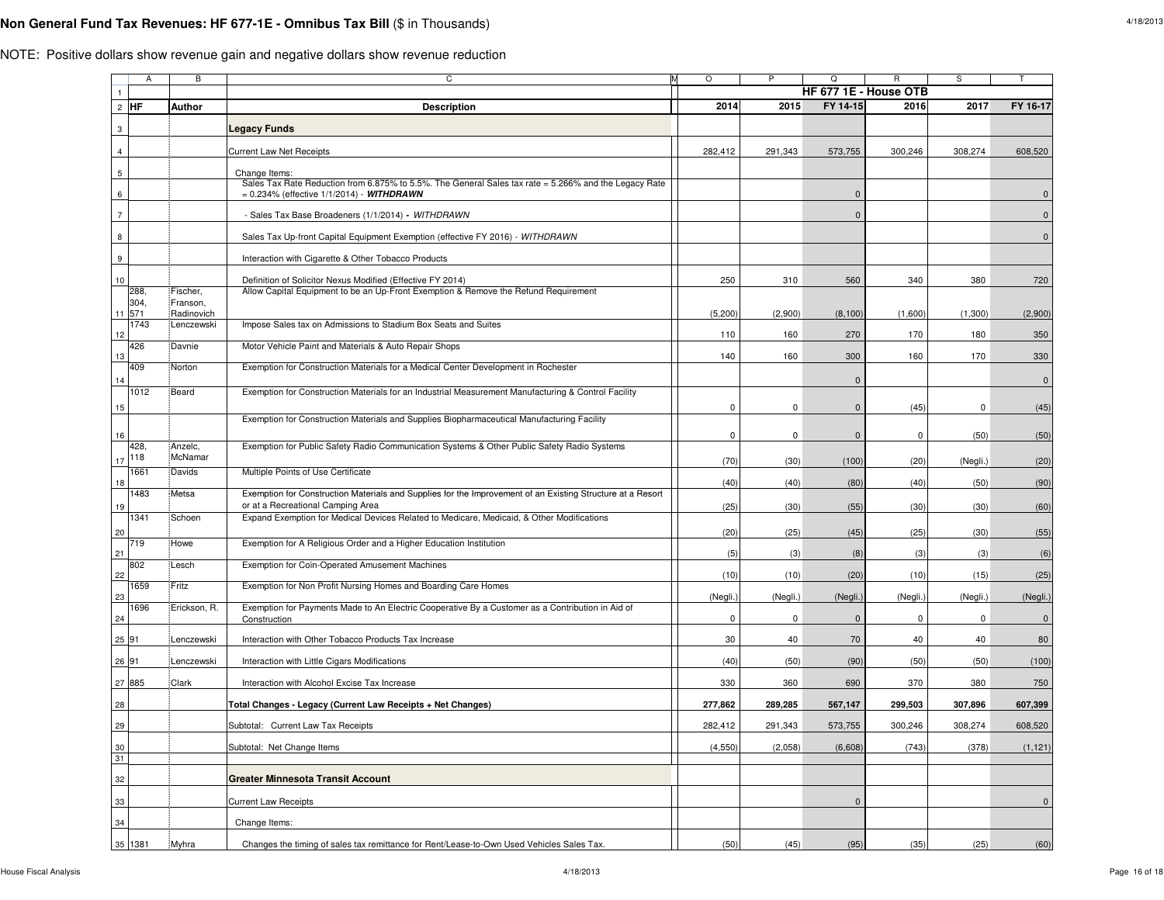## **Non General Fund Tax Revenues: HF 677-1E - Omnibus Tax Bill** (\$ in Thousands)

|                          | Α              | B                      | C                                                                                                                              | $\circ$     | P           | Q            | R                     | S           |              |
|--------------------------|----------------|------------------------|--------------------------------------------------------------------------------------------------------------------------------|-------------|-------------|--------------|-----------------------|-------------|--------------|
|                          |                |                        |                                                                                                                                |             |             |              | HF 677 1E - House OTB |             |              |
|                          | $2$ HF         | <b>Author</b>          | <b>Description</b>                                                                                                             | 2014        | 2015        | FY 14-15     | 2016                  | 2017        | FY 16-17     |
| 3                        |                |                        | Legacy Funds                                                                                                                   |             |             |              |                       |             |              |
| $\overline{4}$           |                |                        | <b>Current Law Net Receipts</b>                                                                                                | 282,412     | 291,343     | 573,755      | 300,246               | 308,274     | 608,520      |
|                          |                |                        |                                                                                                                                |             |             |              |                       |             |              |
| $\,$ 5 $\,$              |                |                        | Change Items:<br>Sales Tax Rate Reduction from 6.875% to 5.5%. The General Sales tax rate = 5.266% and the Legacy Rate         |             |             |              |                       |             |              |
| $\,6\,$                  |                |                        | = 0.234% (effective 1/1/2014) - WITHDRAWN                                                                                      |             |             | $\Omega$     |                       |             | $\Omega$     |
| $\overline{\phantom{a}}$ |                |                        | - Sales Tax Base Broadeners (1/1/2014) - WITHDRAWN                                                                             |             |             | $\mathbf 0$  |                       |             | $\mathbf 0$  |
| 8                        |                |                        | Sales Tax Up-front Capital Equipment Exemption (effective FY 2016) - WITHDRAWN                                                 |             |             |              |                       |             | $\mathbf 0$  |
| 9                        |                |                        | Interaction with Cigarette & Other Tobacco Products                                                                            |             |             |              |                       |             |              |
| $10$                     |                |                        | Definition of Solicitor Nexus Modified (Effective FY 2014)                                                                     | 250         | 310         | 560          | 340                   | 380         | 720          |
|                          | 288,           | Fischer,               | Allow Capital Equipment to be an Up-Front Exemption & Remove the Refund Requirement                                            |             |             |              |                       |             |              |
|                          | 304,<br>11 571 | Franson,<br>Radinovich |                                                                                                                                | (5,200)     | (2,900)     | (8, 100)     | (1,600)               | (1,300)     | (2,900)      |
|                          | 1743           | Lenczewski             | Impose Sales tax on Admissions to Stadium Box Seats and Suites                                                                 |             | 160         |              | 170                   |             |              |
| 12                       | 426            | Davnie                 | Motor Vehicle Paint and Materials & Auto Repair Shops                                                                          | 110         |             | 270          |                       | 180         | 350          |
| 13                       | 409            | Norton                 | Exemption for Construction Materials for a Medical Center Development in Rochester                                             | 140         | 160         | 300          | 160                   | 170         | 330          |
| 14                       |                |                        |                                                                                                                                |             |             | $\Omega$     |                       |             | $\mathbf 0$  |
|                          | 1012           | Beard                  | Exemption for Construction Materials for an Industrial Measurement Manufacturing & Control Facility                            |             |             |              |                       |             |              |
| 15                       |                |                        |                                                                                                                                | 0           | 0           | $\mathbf 0$  | (45)                  | $\mathbf 0$ | (45)         |
|                          |                |                        | Exemption for Construction Materials and Supplies Biopharmaceutical Manufacturing Facility                                     |             |             |              |                       |             |              |
| 16                       | 428,           | Anzelc,                | Exemption for Public Safety Radio Communication Systems & Other Public Safety Radio Systems                                    | $\mathbf 0$ | $\mathbf 0$ | $\mathbf 0$  | $\pmb{0}$             | (50)        | (50)         |
| 17                       | 118            | McNamar                |                                                                                                                                | (70)        | (30)        | (100)        | (20)                  | (Negli.)    | (20)         |
| 18                       | 1661           | :Davids                | Multiple Points of Use Certificate                                                                                             | (40)        | (40)        | (80)         | (40)                  | (50)        | (90)         |
|                          | 1483           | Metsa                  | Exemption for Construction Materials and Supplies for the Improvement of an Existing Structure at a Resort                     |             |             |              |                       |             |              |
| 19                       | 1341           | Schoen                 | or at a Recreational Camping Area<br>Expand Exemption for Medical Devices Related to Medicare, Medicaid, & Other Modifications | (25)        | (30)        | (55)         | (30)                  | (30)        | (60)         |
| 20                       |                |                        |                                                                                                                                | (20)        | (25)        | (45)         | (25)                  | (30)        | (55)         |
| 21                       | 719            | <b>Howe</b>            | Exemption for A Religious Order and a Higher Education Institution                                                             | (5)         | (3)         | (8)          | (3)                   | (3)         | (6)          |
| 22                       | 802            | Lesch                  | Exemption for Coin-Operated Amusement Machines                                                                                 | (10)        | (10)        | (20)         | (10)                  | (15)        | (25)         |
|                          | 1659           | Fritz                  | Exemption for Non Profit Nursing Homes and Boarding Care Homes                                                                 |             |             |              |                       |             |              |
| 23                       | 1696           | Erickson, R.           | Exemption for Payments Made to An Electric Cooperative By a Customer as a Contribution in Aid of                               | (Negli.)    | (Negli.)    | (Negli.)     | (Negli.)              | (Negli.)    | (Negli.)     |
| 24                       |                |                        | Construction                                                                                                                   | 0           | 0           | $\Omega$     | 0                     | $\mathbf 0$ | $\mathbf{0}$ |
|                          | 25 91          | Lenczewski             | Interaction with Other Tobacco Products Tax Increase                                                                           | 30          | 40          | 70           | 40                    | 40          | 80           |
| 26 91                    |                | Lenczewski             | Interaction with Little Cigars Modifications                                                                                   | (40)        | (50)        | (90)         | (50)                  | (50)        | (100)        |
|                          | 27 885         | <b>Clark</b>           | Interaction with Alcohol Excise Tax Increase                                                                                   | 330         | 360         | 690          | 370                   | 380         | 750          |
| 28                       |                |                        | Total Changes - Legacy (Current Law Receipts + Net Changes)                                                                    | 277,862     | 289,285     | 567,147      | 299,503               | 307,896     | 607,399      |
| 29                       |                |                        | Subtotal: Current Law Tax Receipts                                                                                             | 282,412     | 291,343     | 573,755      | 300,246               | 308,274     | 608,520      |
| 30                       |                |                        | Subtotal: Net Change Items                                                                                                     | (4, 550)    | (2,058)     | (6,608)      | (743)                 | (378)       | (1, 121)     |
| 31                       |                |                        |                                                                                                                                |             |             |              |                       |             |              |
| 32                       |                |                        | Greater Minnesota Transit Account                                                                                              |             |             |              |                       |             |              |
| 33                       |                |                        | <b>Current Law Receipts</b>                                                                                                    |             |             | $\mathbf{0}$ |                       |             | $\mathbf 0$  |
| 34                       |                |                        | Change Items:                                                                                                                  |             |             |              |                       |             |              |
|                          | 35 1381        | Myhra                  | Changes the timing of sales tax remittance for Rent/Lease-to-Own Used Vehicles Sales Tax.                                      | (50)        | (45)        | (95)         | (35)                  | (25)        | (60)         |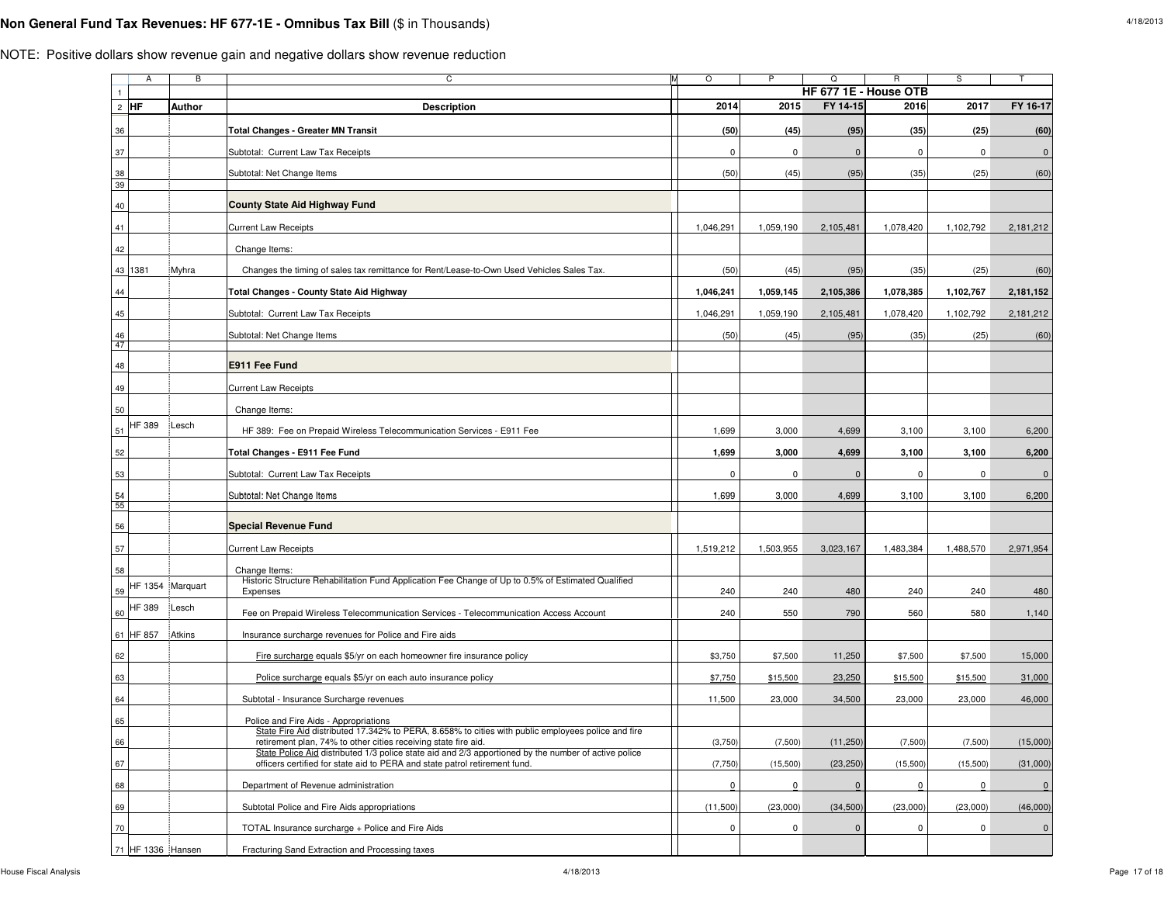## **Non General Fund Tax Revenues: HF 677-1E - Omnibus Tax Bill** (\$ in Thousands)

|                | A                 | B                | С                                                                                                                                                                                  | M<br>$\circ$ | P           | Q                     | R         | S              | T                   |
|----------------|-------------------|------------------|------------------------------------------------------------------------------------------------------------------------------------------------------------------------------------|--------------|-------------|-----------------------|-----------|----------------|---------------------|
| $\overline{1}$ |                   |                  |                                                                                                                                                                                    |              |             | HF 677 1E - House OTB |           |                |                     |
|                | $2$ HF            | Author           | <b>Description</b>                                                                                                                                                                 | 2014         | 2015        | FY 14-15              | 2016      | 2017           | FY 16-17            |
| 36             |                   |                  | <b>Total Changes - Greater MN Transit</b>                                                                                                                                          | (50)         | (45)        | (95)                  | (35)      | (25)           | (60)                |
| 37             |                   |                  | Subtotal: Current Law Tax Receipts                                                                                                                                                 | $\mathbf 0$  | $\mathbf 0$ | $\mathbf 0$           | 0         | 0              | $\pmb{0}$           |
| 38<br>39       |                   |                  | Subtotal: Net Change Items                                                                                                                                                         | (50)         | (45)        | (95)                  | (35)      | (25)           | (60)                |
| 40             |                   |                  | <b>County State Aid Highway Fund</b>                                                                                                                                               |              |             |                       |           |                |                     |
| 41             |                   |                  | <b>Current Law Receipts</b>                                                                                                                                                        | 1,046,291    | 1,059,190   | 2,105,481             | 1,078,420 | 1,102,792      | 2,181,212           |
| 42             |                   |                  | Change Items:                                                                                                                                                                      |              |             |                       |           |                |                     |
| 43             | 1381              | Myhra            | Changes the timing of sales tax remittance for Rent/Lease-to-Own Used Vehicles Sales Tax.                                                                                          | (50)         | (45)        | (95)                  | (35)      | (25)           | (60)                |
| 44             |                   |                  | Total Changes - County State Aid Highway                                                                                                                                           | 1,046,241    | 1,059,145   | 2,105,386             | 1,078,385 | 1,102,767      | 2,181,152           |
| 45             |                   |                  | Subtotal: Current Law Tax Receipts                                                                                                                                                 | 1,046,291    | 1,059,190   | 2,105,481             | 1,078,420 | 1,102,792      | 2,181,212           |
| 46             |                   |                  | Subtotal: Net Change Items                                                                                                                                                         | (50)         | (45)        | (95)                  | (35)      | (25)           | (60)                |
| 47<br>48       |                   |                  | E911 Fee Fund                                                                                                                                                                      |              |             |                       |           |                |                     |
| 49             |                   |                  | <b>Current Law Receipts</b>                                                                                                                                                        |              |             |                       |           |                |                     |
| 50             |                   |                  | Change Items:                                                                                                                                                                      |              |             |                       |           |                |                     |
| 51             | HF 389            | Lesch            | HF 389: Fee on Prepaid Wireless Telecommunication Services - E911 Fee                                                                                                              | 1,699        | 3,000       | 4,699                 | 3,100     | 3,100          | 6,200               |
| 52             |                   |                  | Total Changes - E911 Fee Fund                                                                                                                                                      | 1,699        | 3,000       | 4,699                 | 3,100     | 3,100          | 6,200               |
| 53             |                   |                  | Subtotal: Current Law Tax Receipts                                                                                                                                                 | $\pmb{0}$    | $\mathbf 0$ | $\mathbf 0$           | 0         | 0              | $\pmb{0}$           |
| 54             |                   |                  | Subtotal: Net Change Items                                                                                                                                                         | 1,699        | 3,000       | 4,699                 | 3,100     | 3,100          | 6,200               |
| 55<br>56       |                   |                  | <b>Special Revenue Fund</b>                                                                                                                                                        |              |             |                       |           |                |                     |
| 57             |                   |                  | <b>Current Law Receipts</b>                                                                                                                                                        | 1,519,212    | 1,503,955   | 3,023,167             | 1,483,384 | 1,488,570      | 2,971,954           |
| 58             |                   |                  | Change Items:                                                                                                                                                                      |              |             |                       |           |                |                     |
| 59             |                   | HF 1354 Marquart | Historic Structure Rehabilitation Fund Application Fee Change of Up to 0.5% of Estimated Qualified<br>Expenses                                                                     | 240          | 240         | 480                   | 240       | 240            | 480                 |
| 60             | HF 389            | <b>Lesch</b>     | Fee on Prepaid Wireless Telecommunication Services - Telecommunication Access Account                                                                                              | 240          | 550         | 790                   | 560       | 580            | 1,140               |
| 61             | HF 857            | Atkins           | Insurance surcharge revenues for Police and Fire aids                                                                                                                              |              |             |                       |           |                |                     |
| 62             |                   |                  | Fire surcharge equals \$5/yr on each homeowner fire insurance policy                                                                                                               | \$3,750      | \$7,500     | 11,250                | \$7,500   | \$7,500        | 15,000              |
| 63             |                   |                  | Police surcharge equals \$5/yr on each auto insurance policy                                                                                                                       | \$7,750      | \$15,500    | 23,250                | \$15,500  | \$15,500       | 31,000              |
| 64             |                   |                  | Subtotal - Insurance Surcharge revenues                                                                                                                                            | 11,500       | 23,000      | 34,500                | 23,000    | 23,000         | 46,000              |
| 65             |                   |                  | Police and Fire Aids - Appropriations                                                                                                                                              |              |             |                       |           |                |                     |
| 66             |                   |                  | State Fire Aid distributed 17.342% to PERA, 8.658% to cities with public employees police and fire<br>retirement plan, 74% to other cities receiving state fire aid.               | (3,750)      | (7,500)     | (11,250)              | (7,500)   | (7,500)        | (15,000)            |
| 67             |                   |                  | State Police Aid distributed 1/3 police state aid and 2/3 apportioned by the number of active police<br>officers certified for state aid to PERA and state patrol retirement fund. | (7, 750)     | (15,500)    | (23, 250)             | (15,500)  | (15,500)       | (31,000)            |
| 68             |                   |                  | Department of Revenue administration                                                                                                                                               | $\Omega$     | $\Omega$    | $\Omega$              | $\Omega$  | $\overline{0}$ | $\overline{0}$      |
| 69             |                   |                  | Subtotal Police and Fire Aids appropriations                                                                                                                                       | (11,500)     | (23,000)    | (34, 500)             | (23,000)  | (23,000)       | (46,000)            |
| 70             |                   |                  | TOTAL Insurance surcharge + Police and Fire Aids                                                                                                                                   | $\mathbf 0$  | 0           | $\mathbf 0$           | $\pmb{0}$ | 0              | $\mathsf{O}\xspace$ |
|                | 71 HF 1336 Hansen |                  | Fracturing Sand Extraction and Processing taxes                                                                                                                                    |              |             |                       |           |                |                     |